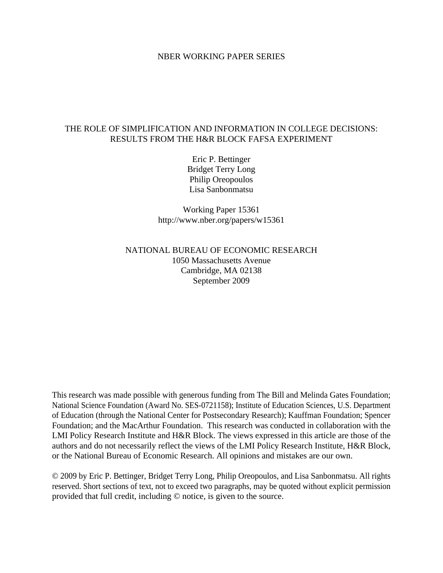# NBER WORKING PAPER SERIES

# THE ROLE OF SIMPLIFICATION AND INFORMATION IN COLLEGE DECISIONS: RESULTS FROM THE H&R BLOCK FAFSA EXPERIMENT

Eric P. Bettinger Bridget Terry Long Philip Oreopoulos Lisa Sanbonmatsu

Working Paper 15361 http://www.nber.org/papers/w15361

# NATIONAL BUREAU OF ECONOMIC RESEARCH 1050 Massachusetts Avenue Cambridge, MA 02138 September 2009

This research was made possible with generous funding from The Bill and Melinda Gates Foundation; National Science Foundation (Award No. SES-0721158); Institute of Education Sciences, U.S. Department of Education (through the National Center for Postsecondary Research); Kauffman Foundation; Spencer Foundation; and the MacArthur Foundation. This research was conducted in collaboration with the LMI Policy Research Institute and H&R Block. The views expressed in this article are those of the authors and do not necessarily reflect the views of the LMI Policy Research Institute, H&R Block, or the National Bureau of Economic Research. All opinions and mistakes are our own.

© 2009 by Eric P. Bettinger, Bridget Terry Long, Philip Oreopoulos, and Lisa Sanbonmatsu. All rights reserved. Short sections of text, not to exceed two paragraphs, may be quoted without explicit permission provided that full credit, including © notice, is given to the source.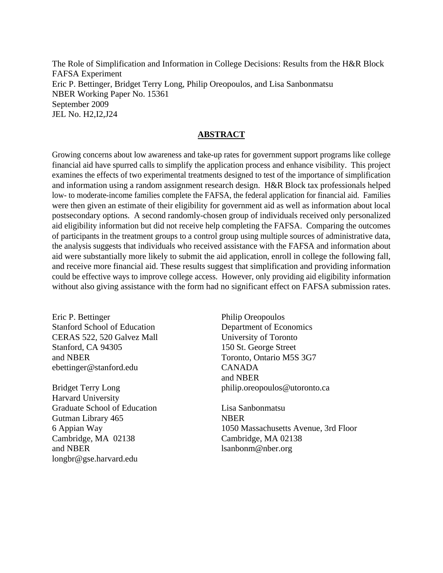The Role of Simplification and Information in College Decisions: Results from the H&R Block FAFSA Experiment Eric P. Bettinger, Bridget Terry Long, Philip Oreopoulos, and Lisa Sanbonmatsu NBER Working Paper No. 15361 September 2009 JEL No. H2,I2,J24

# **ABSTRACT**

Growing concerns about low awareness and take-up rates for government support programs like college financial aid have spurred calls to simplify the application process and enhance visibility. This project examines the effects of two experimental treatments designed to test of the importance of simplification and information using a random assignment research design. H&R Block tax professionals helped low- to moderate-income families complete the FAFSA, the federal application for financial aid. Families were then given an estimate of their eligibility for government aid as well as information about local postsecondary options. A second randomly-chosen group of individuals received only personalized aid eligibility information but did not receive help completing the FAFSA. Comparing the outcomes of participants in the treatment groups to a control group using multiple sources of administrative data, the analysis suggests that individuals who received assistance with the FAFSA and information about aid were substantially more likely to submit the aid application, enroll in college the following fall, and receive more financial aid. These results suggest that simplification and providing information could be effective ways to improve college access. However, only providing aid eligibility information without also giving assistance with the form had no significant effect on FAFSA submission rates.

Eric P. Bettinger Stanford School of Education CERAS 522, 520 Galvez Mall Stanford, CA 94305 and NBER ebettinger@stanford.edu

Bridget Terry Long Harvard University Graduate School of Education Gutman Library 465 6 Appian Way Cambridge, MA 02138 and NBER longbr@gse.harvard.edu

Philip Oreopoulos Department of Economics University of Toronto 150 St. George Street Toronto, Ontario M5S 3G7 CANADA and NBER philip.oreopoulos@utoronto.ca

Lisa Sanbonmatsu NBER 1050 Massachusetts Avenue, 3rd Floor Cambridge, MA 02138 lsanbonm@nber.org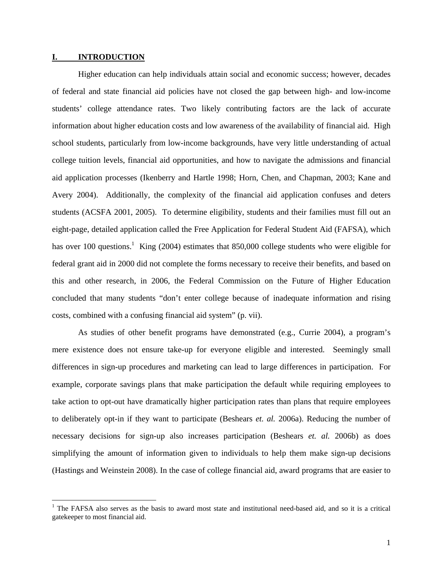#### **I. INTRODUCTION**

 $\overline{a}$ 

Higher education can help individuals attain social and economic success; however, decades of federal and state financial aid policies have not closed the gap between high- and low-income students' college attendance rates. Two likely contributing factors are the lack of accurate information about higher education costs and low awareness of the availability of financial aid. High school students, particularly from low-income backgrounds, have very little understanding of actual college tuition levels, financial aid opportunities, and how to navigate the admissions and financial aid application processes (Ikenberry and Hartle 1998; Horn, Chen, and Chapman, 2003; Kane and Avery 2004). Additionally, the complexity of the financial aid application confuses and deters students (ACSFA 2001, 2005). To determine eligibility, students and their families must fill out an eight-page, detailed application called the Free Application for Federal Student Aid (FAFSA), which has over 100 questions.<sup>1</sup> King (2004) estimates that 850,000 college students who were eligible for federal grant aid in 2000 did not complete the forms necessary to receive their benefits, and based on this and other research, in 2006, the Federal Commission on the Future of Higher Education concluded that many students "don't enter college because of inadequate information and rising costs, combined with a confusing financial aid system" (p. vii).

As studies of other benefit programs have demonstrated (e.g., Currie 2004), a program's mere existence does not ensure take-up for everyone eligible and interested. Seemingly small differences in sign-up procedures and marketing can lead to large differences in participation. For example, corporate savings plans that make participation the default while requiring employees to take action to opt-out have dramatically higher participation rates than plans that require employees to deliberately opt-in if they want to participate (Beshears *et. al.* 2006a). Reducing the number of necessary decisions for sign-up also increases participation (Beshears *et. al.* 2006b) as does simplifying the amount of information given to individuals to help them make sign-up decisions (Hastings and Weinstein 2008). In the case of college financial aid, award programs that are easier to

<sup>&</sup>lt;sup>1</sup> The FAFSA also serves as the basis to award most state and institutional need-based aid, and so it is a critical gatekeeper to most financial aid.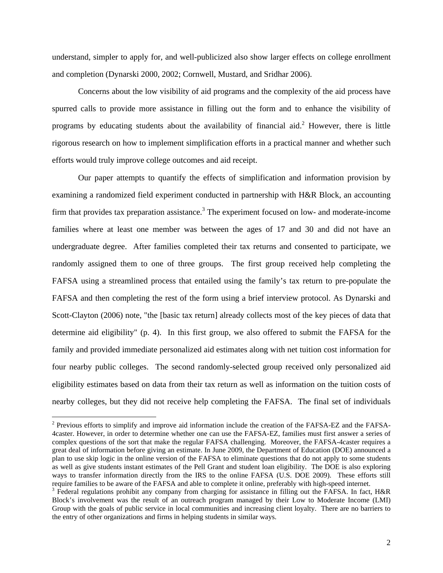understand, simpler to apply for, and well-publicized also show larger effects on college enrollment and completion (Dynarski 2000, 2002; Cornwell, Mustard, and Sridhar 2006).

Concerns about the low visibility of aid programs and the complexity of the aid process have spurred calls to provide more assistance in filling out the form and to enhance the visibility of programs by educating students about the availability of financial aid.<sup>2</sup> However, there is little rigorous research on how to implement simplification efforts in a practical manner and whether such efforts would truly improve college outcomes and aid receipt.

Our paper attempts to quantify the effects of simplification and information provision by examining a randomized field experiment conducted in partnership with H&R Block, an accounting firm that provides tax preparation assistance.<sup>3</sup> The experiment focused on low- and moderate-income families where at least one member was between the ages of 17 and 30 and did not have an undergraduate degree. After families completed their tax returns and consented to participate, we randomly assigned them to one of three groups. The first group received help completing the FAFSA using a streamlined process that entailed using the family's tax return to pre-populate the FAFSA and then completing the rest of the form using a brief interview protocol. As Dynarski and Scott-Clayton (2006) note, "the [basic tax return] already collects most of the key pieces of data that determine aid eligibility" (p. 4). In this first group, we also offered to submit the FAFSA for the family and provided immediate personalized aid estimates along with net tuition cost information for four nearby public colleges. The second randomly-selected group received only personalized aid eligibility estimates based on data from their tax return as well as information on the tuition costs of nearby colleges, but they did not receive help completing the FAFSA. The final set of individuals

 $2$  Previous efforts to simplify and improve aid information include the creation of the FAFSA-EZ and the FAFSA-4caster. However, in order to determine whether one can use the FAFSA-EZ, families must first answer a series of complex questions of the sort that make the regular FAFSA challenging. Moreover, the FAFSA-4caster requires a great deal of information before giving an estimate. In June 2009, the Department of Education (DOE) announced a plan to use skip logic in the online version of the FAFSA to eliminate questions that do not apply to some students as well as give students instant estimates of the Pell Grant and student loan eligibility. The DOE is also exploring ways to transfer information directly from the IRS to the online FAFSA (U.S. DOE 2009). These efforts still require families to be aware of the FAFSA and able to complete it online, preferably with high-speed internet. 3

<sup>&</sup>lt;sup>3</sup> Federal regulations prohibit any company from charging for assistance in filling out the FAFSA. In fact,  $H\&R$ Block's involvement was the result of an outreach program managed by their Low to Moderate Income (LMI) Group with the goals of public service in local communities and increasing client loyalty. There are no barriers to the entry of other organizations and firms in helping students in similar ways.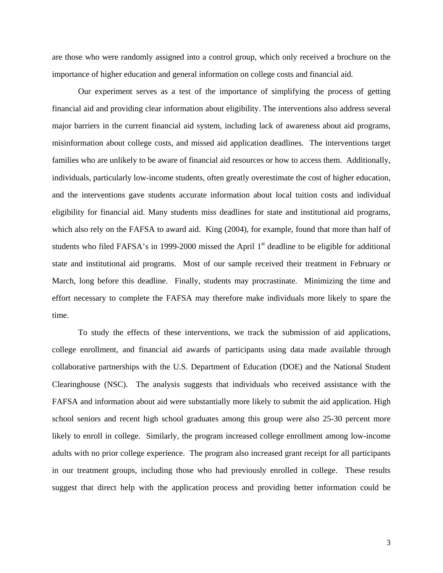are those who were randomly assigned into a control group, which only received a brochure on the importance of higher education and general information on college costs and financial aid.

Our experiment serves as a test of the importance of simplifying the process of getting financial aid and providing clear information about eligibility. The interventions also address several major barriers in the current financial aid system, including lack of awareness about aid programs, misinformation about college costs, and missed aid application deadlines. The interventions target families who are unlikely to be aware of financial aid resources or how to access them. Additionally, individuals, particularly low-income students, often greatly overestimate the cost of higher education, and the interventions gave students accurate information about local tuition costs and individual eligibility for financial aid. Many students miss deadlines for state and institutional aid programs, which also rely on the FAFSA to award aid. King (2004), for example, found that more than half of students who filed FAFSA's in 1999-2000 missed the April 1<sup>st</sup> deadline to be eligible for additional state and institutional aid programs. Most of our sample received their treatment in February or March, long before this deadline. Finally, students may procrastinate. Minimizing the time and effort necessary to complete the FAFSA may therefore make individuals more likely to spare the time.

 To study the effects of these interventions, we track the submission of aid applications, college enrollment, and financial aid awards of participants using data made available through collaborative partnerships with the U.S. Department of Education (DOE) and the National Student Clearinghouse (NSC). The analysis suggests that individuals who received assistance with the FAFSA and information about aid were substantially more likely to submit the aid application. High school seniors and recent high school graduates among this group were also 25-30 percent more likely to enroll in college. Similarly, the program increased college enrollment among low-income adults with no prior college experience. The program also increased grant receipt for all participants in our treatment groups, including those who had previously enrolled in college. These results suggest that direct help with the application process and providing better information could be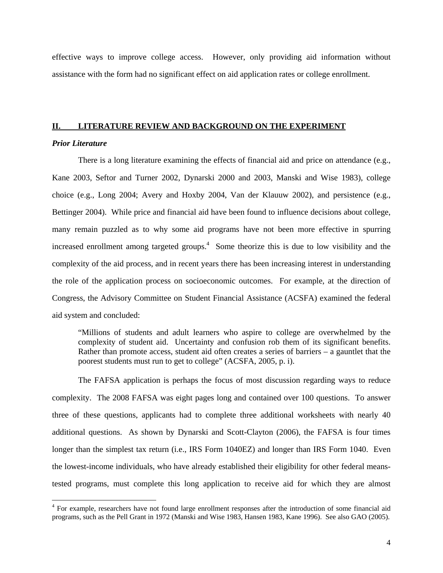effective ways to improve college access. However, only providing aid information without assistance with the form had no significant effect on aid application rates or college enrollment.

#### **II. LITERATURE REVIEW AND BACKGROUND ON THE EXPERIMENT**

### *Prior Literature*

There is a long literature examining the effects of financial aid and price on attendance (e.g., Kane 2003, Seftor and Turner 2002, Dynarski 2000 and 2003, Manski and Wise 1983), college choice (e.g., Long 2004; Avery and Hoxby 2004, Van der Klauuw 2002), and persistence (e.g., Bettinger 2004). While price and financial aid have been found to influence decisions about college, many remain puzzled as to why some aid programs have not been more effective in spurring increased enrollment among targeted groups.<sup>4</sup> Some theorize this is due to low visibility and the complexity of the aid process, and in recent years there has been increasing interest in understanding the role of the application process on socioeconomic outcomes. For example, at the direction of Congress, the Advisory Committee on Student Financial Assistance (ACSFA) examined the federal aid system and concluded:

"Millions of students and adult learners who aspire to college are overwhelmed by the complexity of student aid. Uncertainty and confusion rob them of its significant benefits. Rather than promote access, student aid often creates a series of barriers  $-$  a gauntlet that the poorest students must run to get to college" (ACSFA, 2005, p. i).

The FAFSA application is perhaps the focus of most discussion regarding ways to reduce complexity. The 2008 FAFSA was eight pages long and contained over 100 questions. To answer three of these questions, applicants had to complete three additional worksheets with nearly 40 additional questions. As shown by Dynarski and Scott-Clayton (2006), the FAFSA is four times longer than the simplest tax return (i.e., IRS Form 1040EZ) and longer than IRS Form 1040. Even the lowest-income individuals, who have already established their eligibility for other federal meanstested programs, must complete this long application to receive aid for which they are almost

 4 For example, researchers have not found large enrollment responses after the introduction of some financial aid programs, such as the Pell Grant in 1972 (Manski and Wise 1983, Hansen 1983, Kane 1996). See also GAO (2005).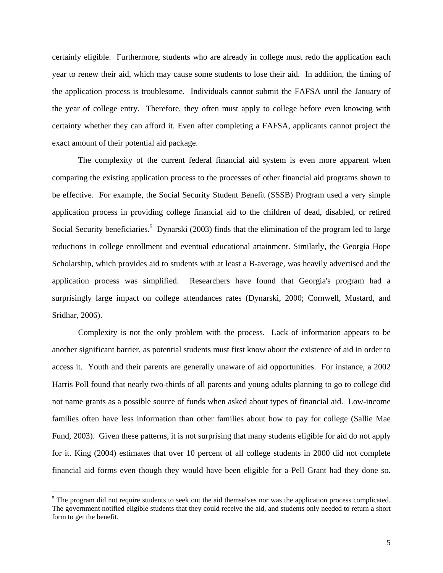certainly eligible. Furthermore, students who are already in college must redo the application each year to renew their aid, which may cause some students to lose their aid. In addition, the timing of the application process is troublesome. Individuals cannot submit the FAFSA until the January of the year of college entry. Therefore, they often must apply to college before even knowing with certainty whether they can afford it. Even after completing a FAFSA, applicants cannot project the exact amount of their potential aid package.

The complexity of the current federal financial aid system is even more apparent when comparing the existing application process to the processes of other financial aid programs shown to be effective. For example, the Social Security Student Benefit (SSSB) Program used a very simple application process in providing college financial aid to the children of dead, disabled, or retired Social Security beneficiaries.<sup>5</sup> Dynarski (2003) finds that the elimination of the program led to large reductions in college enrollment and eventual educational attainment. Similarly, the Georgia Hope Scholarship, which provides aid to students with at least a B-average, was heavily advertised and the application process was simplified. Researchers have found that Georgia's program had a surprisingly large impact on college attendances rates (Dynarski, 2000; Cornwell, Mustard, and Sridhar, 2006).

Complexity is not the only problem with the process. Lack of information appears to be another significant barrier, as potential students must first know about the existence of aid in order to access it. Youth and their parents are generally unaware of aid opportunities. For instance, a 2002 Harris Poll found that nearly two-thirds of all parents and young adults planning to go to college did not name grants as a possible source of funds when asked about types of financial aid. Low-income families often have less information than other families about how to pay for college (Sallie Mae Fund, 2003). Given these patterns, it is not surprising that many students eligible for aid do not apply for it. King (2004) estimates that over 10 percent of all college students in 2000 did not complete financial aid forms even though they would have been eligible for a Pell Grant had they done so.

 $<sup>5</sup>$  The program did not require students to seek out the aid themselves nor was the application process complicated.</sup> The government notified eligible students that they could receive the aid, and students only needed to return a short form to get the benefit.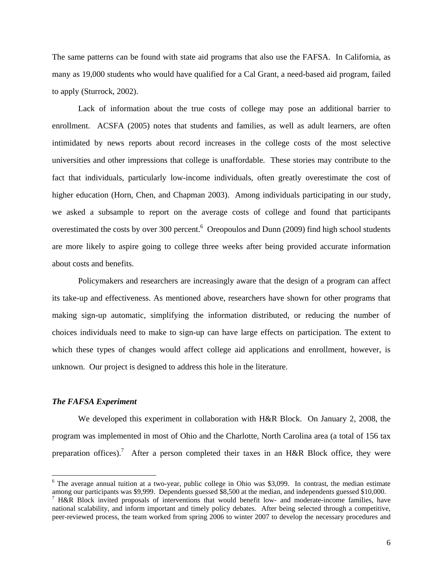The same patterns can be found with state aid programs that also use the FAFSA. In California, as many as 19,000 students who would have qualified for a Cal Grant, a need-based aid program, failed to apply (Sturrock, 2002).

Lack of information about the true costs of college may pose an additional barrier to enrollment. ACSFA (2005) notes that students and families, as well as adult learners, are often intimidated by news reports about record increases in the college costs of the most selective universities and other impressions that college is unaffordable. These stories may contribute to the fact that individuals, particularly low-income individuals, often greatly overestimate the cost of higher education (Horn, Chen, and Chapman 2003). Among individuals participating in our study, we asked a subsample to report on the average costs of college and found that participants overestimated the costs by over 300 percent.<sup>6</sup> Oreopoulos and Dunn (2009) find high school students are more likely to aspire going to college three weeks after being provided accurate information about costs and benefits.

Policymakers and researchers are increasingly aware that the design of a program can affect its take-up and effectiveness. As mentioned above, researchers have shown for other programs that making sign-up automatic, simplifying the information distributed, or reducing the number of choices individuals need to make to sign-up can have large effects on participation. The extent to which these types of changes would affect college aid applications and enrollment, however, is unknown. Our project is designed to address this hole in the literature.

# *The FAFSA Experiment*

 $\overline{a}$ 

We developed this experiment in collaboration with H&R Block. On January 2, 2008, the program was implemented in most of Ohio and the Charlotte, North Carolina area (a total of 156 tax preparation offices).<sup>7</sup> After a person completed their taxes in an H&R Block office, they were

<sup>&</sup>lt;sup>6</sup> The average annual tuition at a two-year, public college in Ohio was \$3,099. In contrast, the median estimate among our participants was \$9,999. Dependents guessed \$8,500 at the median, and independents guessed \$10,000.

<sup>&</sup>lt;sup>7</sup> H&R Block invited proposals of interventions that would benefit low- and moderate-income families, have national scalability, and inform important and timely policy debates. After being selected through a competitive, peer-reviewed process, the team worked from spring 2006 to winter 2007 to develop the necessary procedures and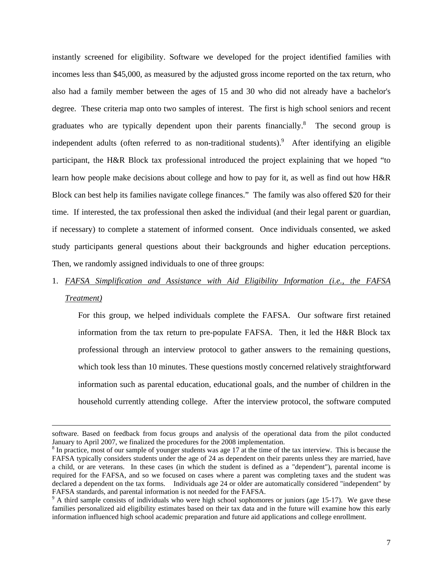instantly screened for eligibility. Software we developed for the project identified families with incomes less than \$45,000, as measured by the adjusted gross income reported on the tax return, who also had a family member between the ages of 15 and 30 who did not already have a bachelor's degree. These criteria map onto two samples of interest. The first is high school seniors and recent graduates who are typically dependent upon their parents financially.<sup>8</sup> The second group is independent adults (often referred to as non-traditional students). After identifying an eligible participant, the H&R Block tax professional introduced the project explaining that we hoped "to learn how people make decisions about college and how to pay for it, as well as find out how H&R Block can best help its families navigate college finances." The family was also offered \$20 for their time. If interested, the tax professional then asked the individual (and their legal parent or guardian, if necessary) to complete a statement of informed consent. Once individuals consented, we asked study participants general questions about their backgrounds and higher education perceptions. Then, we randomly assigned individuals to one of three groups:

# 1. *FAFSA Simplification and Assistance with Aid Eligibility Information (i.e., the FAFSA Treatment)*

For this group, we helped individuals complete the FAFSA. Our software first retained information from the tax return to pre-populate FAFSA. Then, it led the H&R Block tax professional through an interview protocol to gather answers to the remaining questions, which took less than 10 minutes. These questions mostly concerned relatively straightforward information such as parental education, educational goals, and the number of children in the household currently attending college. After the interview protocol, the software computed

software. Based on feedback from focus groups and analysis of the operational data from the pilot conducted January to April 2007, we finalized the procedures for the 2008 implementation.

 $8 \text{ In practice, most of our sample of younger students was age 17 at the time of the tax interview. This is because the$ FAFSA typically considers students under the age of 24 as dependent on their parents unless they are married, have a child, or are veterans. In these cases (in which the student is defined as a "dependent"), parental income is required for the FAFSA, and so we focused on cases where a parent was completing taxes and the student was declared a dependent on the tax forms. Individuals age 24 or older are automatically considered "independent" by FAFSA standards, and parental information is not needed for the FAFSA.

<sup>&</sup>lt;sup>9</sup> A third sample consists of individuals who were high school sophomores or juniors (age 15-17). We gave these families personalized aid eligibility estimates based on their tax data and in the future will examine how this early information influenced high school academic preparation and future aid applications and college enrollment.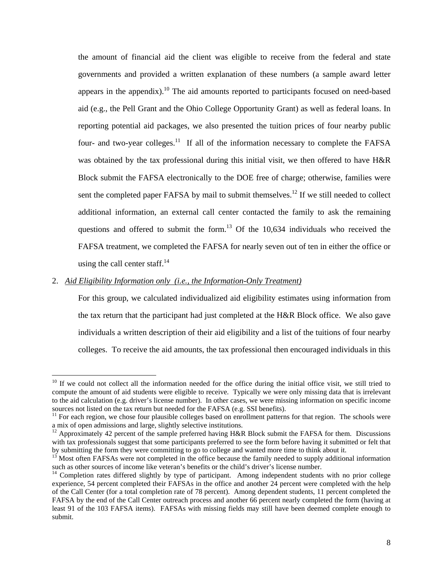the amount of financial aid the client was eligible to receive from the federal and state governments and provided a written explanation of these numbers (a sample award letter appears in the appendix).<sup>10</sup> The aid amounts reported to participants focused on need-based aid (e.g., the Pell Grant and the Ohio College Opportunity Grant) as well as federal loans. In reporting potential aid packages, we also presented the tuition prices of four nearby public four- and two-year colleges.<sup>11</sup> If all of the information necessary to complete the FAFSA was obtained by the tax professional during this initial visit, we then offered to have H&R Block submit the FAFSA electronically to the DOE free of charge; otherwise, families were sent the completed paper FAFSA by mail to submit themselves.<sup>12</sup> If we still needed to collect additional information, an external call center contacted the family to ask the remaining questions and offered to submit the form.<sup>13</sup> Of the  $10,634$  individuals who received the FAFSA treatment, we completed the FAFSA for nearly seven out of ten in either the office or using the call center staff. $^{14}$ 

# 2. *Aid Eligibility Information only (i.e., the Information-Only Treatment)*

 $\overline{a}$ 

For this group, we calculated individualized aid eligibility estimates using information from the tax return that the participant had just completed at the H&R Block office. We also gave individuals a written description of their aid eligibility and a list of the tuitions of four nearby colleges. To receive the aid amounts, the tax professional then encouraged individuals in this

 $10$  If we could not collect all the information needed for the office during the initial office visit, we still tried to compute the amount of aid students were eligible to receive. Typically we were only missing data that is irrelevant to the aid calculation (e.g. driver's license number). In other cases, we were missing information on specific income sources not listed on the tax return but needed for the FAFSA (e.g. SSI benefits).<br><sup>11</sup> For each region, we chose four plausible colleges based on enrollment patterns for that region. The schools were

a mix of open admissions and large, slightly selective institutions.

<sup>&</sup>lt;sup>12</sup> Approximately 42 percent of the sample preferred having H&R Block submit the FAFSA for them. Discussions with tax professionals suggest that some participants preferred to see the form before having it submitted or felt that by submitting the form they were committing to go to college and wanted more time to think about it.

 $13$  Most often FAFSAs were not completed in the office because the family needed to supply additional information such as other sources of income like veteran's benefits or the child's driver's license number.

 $14$  Completion rates differed slightly by type of participant. Among independent students with no prior college experience, 54 percent completed their FAFSAs in the office and another 24 percent were completed with the help of the Call Center (for a total completion rate of 78 percent). Among dependent students, 11 percent completed the FAFSA by the end of the Call Center outreach process and another 66 percent nearly completed the form (having at least 91 of the 103 FAFSA items). FAFSAs with missing fields may still have been deemed complete enough to submit.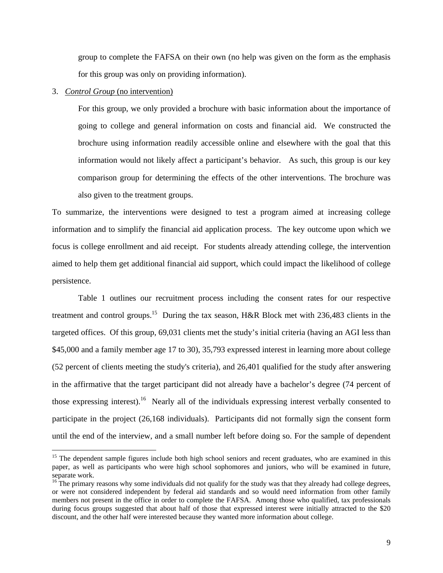group to complete the FAFSA on their own (no help was given on the form as the emphasis for this group was only on providing information).

# 3. *Control Group* (no intervention)

 $\overline{a}$ 

For this group, we only provided a brochure with basic information about the importance of going to college and general information on costs and financial aid. We constructed the brochure using information readily accessible online and elsewhere with the goal that this information would not likely affect a participant's behavior. As such, this group is our key comparison group for determining the effects of the other interventions. The brochure was also given to the treatment groups.

To summarize, the interventions were designed to test a program aimed at increasing college information and to simplify the financial aid application process. The key outcome upon which we focus is college enrollment and aid receipt. For students already attending college, the intervention aimed to help them get additional financial aid support, which could impact the likelihood of college persistence.

Table 1 outlines our recruitment process including the consent rates for our respective treatment and control groups.<sup>15</sup> During the tax season, H&R Block met with 236,483 clients in the targeted offices. Of this group, 69,031 clients met the study's initial criteria (having an AGI less than \$45,000 and a family member age 17 to 30), 35,793 expressed interest in learning more about college (52 percent of clients meeting the study's criteria), and 26,401 qualified for the study after answering in the affirmative that the target participant did not already have a bachelor's degree (74 percent of those expressing interest).16 Nearly all of the individuals expressing interest verbally consented to participate in the project (26,168 individuals). Participants did not formally sign the consent form until the end of the interview, and a small number left before doing so. For the sample of dependent

<sup>&</sup>lt;sup>15</sup> The dependent sample figures include both high school seniors and recent graduates, who are examined in this paper, as well as participants who were high school sophomores and juniors, who will be examined in future, separate work.

<sup>&</sup>lt;sup>16</sup> The primary reasons why some individuals did not qualify for the study was that they already had college degrees, or were not considered independent by federal aid standards and so would need information from other family members not present in the office in order to complete the FAFSA. Among those who qualified, tax professionals during focus groups suggested that about half of those that expressed interest were initially attracted to the \$20 discount, and the other half were interested because they wanted more information about college.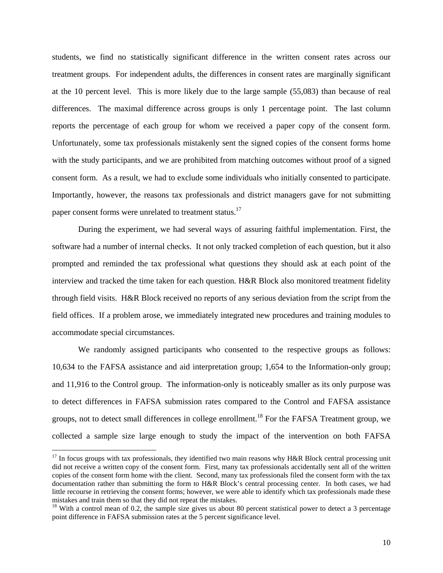students, we find no statistically significant difference in the written consent rates across our treatment groups. For independent adults, the differences in consent rates are marginally significant at the 10 percent level. This is more likely due to the large sample (55,083) than because of real differences. The maximal difference across groups is only 1 percentage point. The last column reports the percentage of each group for whom we received a paper copy of the consent form. Unfortunately, some tax professionals mistakenly sent the signed copies of the consent forms home with the study participants, and we are prohibited from matching outcomes without proof of a signed consent form. As a result, we had to exclude some individuals who initially consented to participate. Importantly, however, the reasons tax professionals and district managers gave for not submitting paper consent forms were unrelated to treatment status.<sup>17</sup>

 During the experiment, we had several ways of assuring faithful implementation. First, the software had a number of internal checks. It not only tracked completion of each question, but it also prompted and reminded the tax professional what questions they should ask at each point of the interview and tracked the time taken for each question. H&R Block also monitored treatment fidelity through field visits. H&R Block received no reports of any serious deviation from the script from the field offices. If a problem arose, we immediately integrated new procedures and training modules to accommodate special circumstances.

We randomly assigned participants who consented to the respective groups as follows: 10,634 to the FAFSA assistance and aid interpretation group; 1,654 to the Information-only group; and 11,916 to the Control group. The information-only is noticeably smaller as its only purpose was to detect differences in FAFSA submission rates compared to the Control and FAFSA assistance groups, not to detect small differences in college enrollment.<sup>18</sup> For the FAFSA Treatment group, we collected a sample size large enough to study the impact of the intervention on both FAFSA

 $17$  In focus groups with tax professionals, they identified two main reasons why H&R Block central processing unit did not receive a written copy of the consent form. First, many tax professionals accidentally sent all of the written copies of the consent form home with the client. Second, many tax professionals filed the consent form with the tax documentation rather than submitting the form to H&R Block's central processing center. In both cases, we had little recourse in retrieving the consent forms; however, we were able to identify which tax professionals made these mistakes and train them so that they did not repeat the mistakes.<br><sup>18</sup> With a control mean of 0.2, the sample size gives us about 80 percent statistical power to detect a 3 percentage

point difference in FAFSA submission rates at the 5 percent significance level.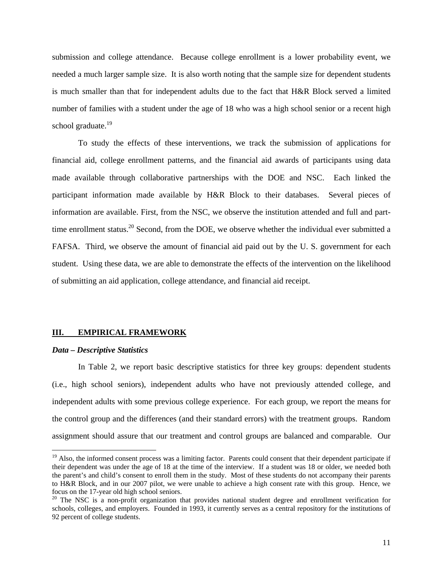submission and college attendance. Because college enrollment is a lower probability event, we needed a much larger sample size. It is also worth noting that the sample size for dependent students is much smaller than that for independent adults due to the fact that H&R Block served a limited number of families with a student under the age of 18 who was a high school senior or a recent high school graduate. $19$ 

To study the effects of these interventions, we track the submission of applications for financial aid, college enrollment patterns, and the financial aid awards of participants using data made available through collaborative partnerships with the DOE and NSC. Each linked the participant information made available by H&R Block to their databases. Several pieces of information are available. First, from the NSC, we observe the institution attended and full and parttime enrollment status.<sup>20</sup> Second, from the DOE, we observe whether the individual ever submitted a FAFSA. Third, we observe the amount of financial aid paid out by the U. S. government for each student. Using these data, we are able to demonstrate the effects of the intervention on the likelihood of submitting an aid application, college attendance, and financial aid receipt.

#### **III. EMPIRICAL FRAMEWORK**

#### *Data – Descriptive Statistics*

 $\overline{a}$ 

In Table 2, we report basic descriptive statistics for three key groups: dependent students (i.e., high school seniors), independent adults who have not previously attended college, and independent adults with some previous college experience. For each group, we report the means for the control group and the differences (and their standard errors) with the treatment groups. Random assignment should assure that our treatment and control groups are balanced and comparable. Our

<sup>&</sup>lt;sup>19</sup> Also, the informed consent process was a limiting factor. Parents could consent that their dependent participate if their dependent was under the age of 18 at the time of the interview. If a student was 18 or older, we needed both the parent's and child's consent to enroll them in the study. Most of these students do not accompany their parents to H&R Block, and in our 2007 pilot, we were unable to achieve a high consent rate with this group. Hence, we focus on the 17-year old high school seniors.

<sup>&</sup>lt;sup>20</sup> The NSC is a non-profit organization that provides national student degree and enrollment verification for schools, colleges, and employers. Founded in 1993, it currently serves as a central repository for the institutions of 92 percent of college students.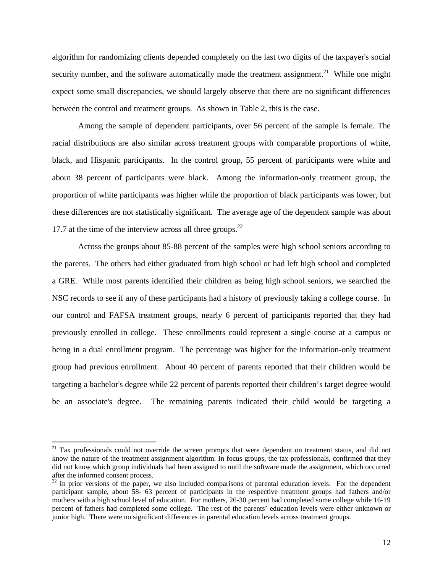algorithm for randomizing clients depended completely on the last two digits of the taxpayer's social security number, and the software automatically made the treatment assignment.<sup>21</sup> While one might expect some small discrepancies, we should largely observe that there are no significant differences between the control and treatment groups. As shown in Table 2, this is the case.

Among the sample of dependent participants, over 56 percent of the sample is female. The racial distributions are also similar across treatment groups with comparable proportions of white, black, and Hispanic participants. In the control group, 55 percent of participants were white and about 38 percent of participants were black. Among the information-only treatment group, the proportion of white participants was higher while the proportion of black participants was lower, but these differences are not statistically significant. The average age of the dependent sample was about 17.7 at the time of the interview across all three groups. $^{22}$ 

Across the groups about 85-88 percent of the samples were high school seniors according to the parents. The others had either graduated from high school or had left high school and completed a GRE. While most parents identified their children as being high school seniors, we searched the NSC records to see if any of these participants had a history of previously taking a college course. In our control and FAFSA treatment groups, nearly 6 percent of participants reported that they had previously enrolled in college. These enrollments could represent a single course at a campus or being in a dual enrollment program. The percentage was higher for the information-only treatment group had previous enrollment. About 40 percent of parents reported that their children would be targeting a bachelor's degree while 22 percent of parents reported their children's target degree would be an associate's degree. The remaining parents indicated their child would be targeting a

 $21$  Tax professionals could not override the screen prompts that were dependent on treatment status, and did not know the nature of the treatment assignment algorithm. In focus groups, the tax professionals, confirmed that they did not know which group individuals had been assigned to until the software made the assignment, which occurred after the informed consent process.

<sup>&</sup>lt;sup>22</sup> In prior versions of the paper, we also included comparisons of parental education levels. For the dependent participant sample, about 58- 63 percent of participants in the respective treatment groups had fathers and/or mothers with a high school level of education. For mothers, 26-30 percent had completed some college while 16-19 percent of fathers had completed some college. The rest of the parents' education levels were either unknown or junior high. There were no significant differences in parental education levels across treatment groups.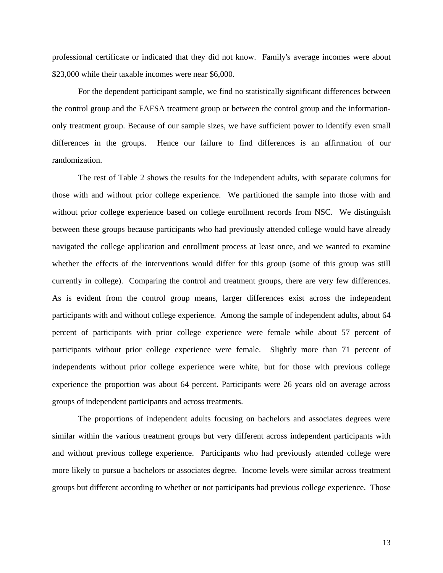professional certificate or indicated that they did not know. Family's average incomes were about \$23,000 while their taxable incomes were near \$6,000.

 For the dependent participant sample, we find no statistically significant differences between the control group and the FAFSA treatment group or between the control group and the informationonly treatment group. Because of our sample sizes, we have sufficient power to identify even small differences in the groups. Hence our failure to find differences is an affirmation of our randomization.

 The rest of Table 2 shows the results for the independent adults, with separate columns for those with and without prior college experience. We partitioned the sample into those with and without prior college experience based on college enrollment records from NSC. We distinguish between these groups because participants who had previously attended college would have already navigated the college application and enrollment process at least once, and we wanted to examine whether the effects of the interventions would differ for this group (some of this group was still currently in college). Comparing the control and treatment groups, there are very few differences. As is evident from the control group means, larger differences exist across the independent participants with and without college experience. Among the sample of independent adults, about 64 percent of participants with prior college experience were female while about 57 percent of participants without prior college experience were female. Slightly more than 71 percent of independents without prior college experience were white, but for those with previous college experience the proportion was about 64 percent. Participants were 26 years old on average across groups of independent participants and across treatments.

The proportions of independent adults focusing on bachelors and associates degrees were similar within the various treatment groups but very different across independent participants with and without previous college experience. Participants who had previously attended college were more likely to pursue a bachelors or associates degree. Income levels were similar across treatment groups but different according to whether or not participants had previous college experience. Those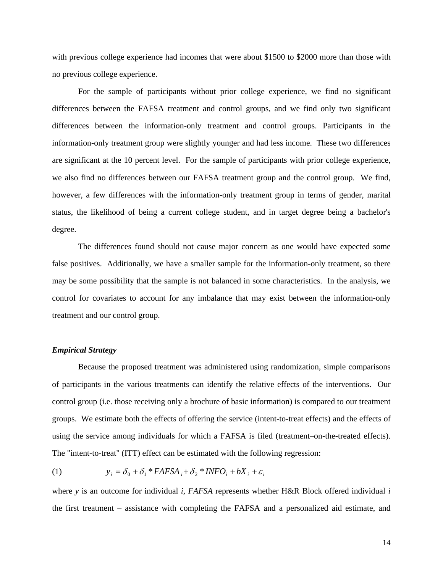with previous college experience had incomes that were about \$1500 to \$2000 more than those with no previous college experience.

 For the sample of participants without prior college experience, we find no significant differences between the FAFSA treatment and control groups, and we find only two significant differences between the information-only treatment and control groups. Participants in the information-only treatment group were slightly younger and had less income. These two differences are significant at the 10 percent level. For the sample of participants with prior college experience, we also find no differences between our FAFSA treatment group and the control group. We find, however, a few differences with the information-only treatment group in terms of gender, marital status, the likelihood of being a current college student, and in target degree being a bachelor's degree.

The differences found should not cause major concern as one would have expected some false positives. Additionally, we have a smaller sample for the information-only treatment, so there may be some possibility that the sample is not balanced in some characteristics. In the analysis, we control for covariates to account for any imbalance that may exist between the information-only treatment and our control group.

#### *Empirical Strategy*

Because the proposed treatment was administered using randomization, simple comparisons of participants in the various treatments can identify the relative effects of the interventions. Our control group (i.e. those receiving only a brochure of basic information) is compared to our treatment groups. We estimate both the effects of offering the service (intent-to-treat effects) and the effects of using the service among individuals for which a FAFSA is filed (treatment–on-the-treated effects). The "intent-to-treat" (ITT) effect can be estimated with the following regression:

(1) 
$$
y_i = \delta_0 + \delta_1 * FAFSA_i + \delta_2 * INFO_i + bX_i + \varepsilon_i
$$

where *y* is an outcome for individual *i*, *FAFSA* represents whether H&R Block offered individual *i* the first treatment – assistance with completing the FAFSA and a personalized aid estimate, and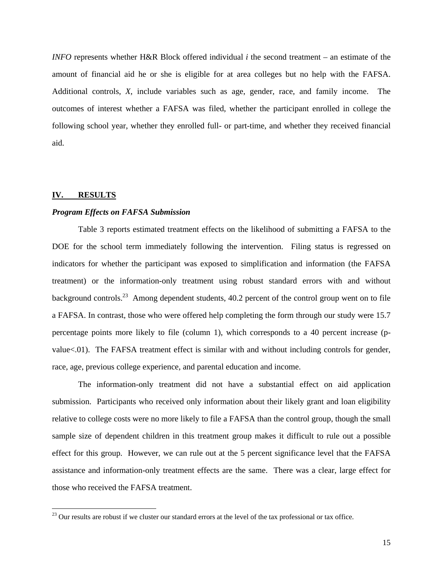*INFO* represents whether H&R Block offered individual *i* the second treatment – an estimate of the amount of financial aid he or she is eligible for at area colleges but no help with the FAFSA. Additional controls, *X*, include variables such as age, gender, race, and family income. The outcomes of interest whether a FAFSA was filed, whether the participant enrolled in college the following school year, whether they enrolled full- or part-time, and whether they received financial aid.

#### **IV. RESULTS**

 $\overline{a}$ 

#### *Program Effects on FAFSA Submission*

Table 3 reports estimated treatment effects on the likelihood of submitting a FAFSA to the DOE for the school term immediately following the intervention. Filing status is regressed on indicators for whether the participant was exposed to simplification and information (the FAFSA treatment) or the information-only treatment using robust standard errors with and without background controls.<sup>23</sup> Among dependent students, 40.2 percent of the control group went on to file a FAFSA. In contrast, those who were offered help completing the form through our study were 15.7 percentage points more likely to file (column 1), which corresponds to a 40 percent increase (pvalue<.01). The FAFSA treatment effect is similar with and without including controls for gender, race, age, previous college experience, and parental education and income.

The information-only treatment did not have a substantial effect on aid application submission. Participants who received only information about their likely grant and loan eligibility relative to college costs were no more likely to file a FAFSA than the control group, though the small sample size of dependent children in this treatment group makes it difficult to rule out a possible effect for this group. However, we can rule out at the 5 percent significance level that the FAFSA assistance and information-only treatment effects are the same. There was a clear, large effect for those who received the FAFSA treatment.

 $23$  Our results are robust if we cluster our standard errors at the level of the tax professional or tax office.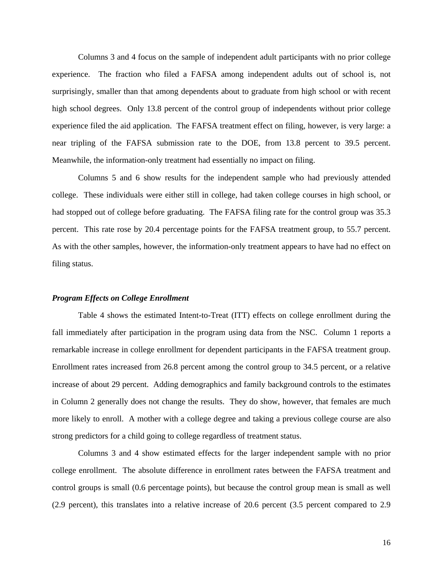Columns 3 and 4 focus on the sample of independent adult participants with no prior college experience. The fraction who filed a FAFSA among independent adults out of school is, not surprisingly, smaller than that among dependents about to graduate from high school or with recent high school degrees. Only 13.8 percent of the control group of independents without prior college experience filed the aid application. The FAFSA treatment effect on filing, however, is very large: a near tripling of the FAFSA submission rate to the DOE, from 13.8 percent to 39.5 percent. Meanwhile, the information-only treatment had essentially no impact on filing.

Columns 5 and 6 show results for the independent sample who had previously attended college. These individuals were either still in college, had taken college courses in high school, or had stopped out of college before graduating. The FAFSA filing rate for the control group was 35.3 percent. This rate rose by 20.4 percentage points for the FAFSA treatment group, to 55.7 percent. As with the other samples, however, the information-only treatment appears to have had no effect on filing status.

#### *Program Effects on College Enrollment*

 Table 4 shows the estimated Intent-to-Treat (ITT) effects on college enrollment during the fall immediately after participation in the program using data from the NSC. Column 1 reports a remarkable increase in college enrollment for dependent participants in the FAFSA treatment group. Enrollment rates increased from 26.8 percent among the control group to 34.5 percent, or a relative increase of about 29 percent. Adding demographics and family background controls to the estimates in Column 2 generally does not change the results. They do show, however, that females are much more likely to enroll. A mother with a college degree and taking a previous college course are also strong predictors for a child going to college regardless of treatment status.

 Columns 3 and 4 show estimated effects for the larger independent sample with no prior college enrollment. The absolute difference in enrollment rates between the FAFSA treatment and control groups is small (0.6 percentage points), but because the control group mean is small as well (2.9 percent), this translates into a relative increase of 20.6 percent (3.5 percent compared to 2.9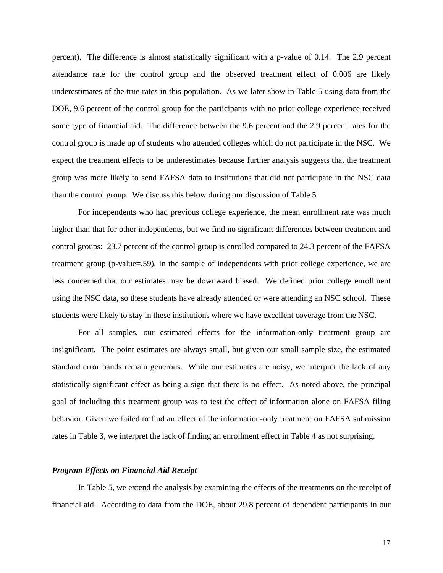percent). The difference is almost statistically significant with a p-value of 0.14. The 2.9 percent attendance rate for the control group and the observed treatment effect of 0.006 are likely underestimates of the true rates in this population. As we later show in Table 5 using data from the DOE, 9.6 percent of the control group for the participants with no prior college experience received some type of financial aid. The difference between the 9.6 percent and the 2.9 percent rates for the control group is made up of students who attended colleges which do not participate in the NSC. We expect the treatment effects to be underestimates because further analysis suggests that the treatment group was more likely to send FAFSA data to institutions that did not participate in the NSC data than the control group. We discuss this below during our discussion of Table 5.

For independents who had previous college experience, the mean enrollment rate was much higher than that for other independents, but we find no significant differences between treatment and control groups: 23.7 percent of the control group is enrolled compared to 24.3 percent of the FAFSA treatment group (p-value=.59). In the sample of independents with prior college experience, we are less concerned that our estimates may be downward biased. We defined prior college enrollment using the NSC data, so these students have already attended or were attending an NSC school. These students were likely to stay in these institutions where we have excellent coverage from the NSC.

 For all samples, our estimated effects for the information-only treatment group are insignificant. The point estimates are always small, but given our small sample size, the estimated standard error bands remain generous. While our estimates are noisy, we interpret the lack of any statistically significant effect as being a sign that there is no effect. As noted above, the principal goal of including this treatment group was to test the effect of information alone on FAFSA filing behavior. Given we failed to find an effect of the information-only treatment on FAFSA submission rates in Table 3, we interpret the lack of finding an enrollment effect in Table 4 as not surprising.

### *Program Effects on Financial Aid Receipt*

 In Table 5, we extend the analysis by examining the effects of the treatments on the receipt of financial aid. According to data from the DOE, about 29.8 percent of dependent participants in our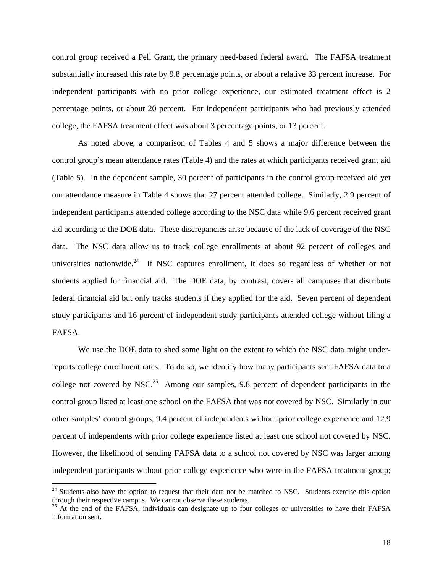control group received a Pell Grant, the primary need-based federal award. The FAFSA treatment substantially increased this rate by 9.8 percentage points, or about a relative 33 percent increase. For independent participants with no prior college experience, our estimated treatment effect is 2 percentage points, or about 20 percent. For independent participants who had previously attended college, the FAFSA treatment effect was about 3 percentage points, or 13 percent.

 As noted above, a comparison of Tables 4 and 5 shows a major difference between the control group's mean attendance rates (Table 4) and the rates at which participants received grant aid (Table 5). In the dependent sample, 30 percent of participants in the control group received aid yet our attendance measure in Table 4 shows that 27 percent attended college. Similarly, 2.9 percent of independent participants attended college according to the NSC data while 9.6 percent received grant aid according to the DOE data. These discrepancies arise because of the lack of coverage of the NSC data. The NSC data allow us to track college enrollments at about 92 percent of colleges and universities nationwide.<sup>24</sup> If NSC captures enrollment, it does so regardless of whether or not students applied for financial aid. The DOE data, by contrast, covers all campuses that distribute federal financial aid but only tracks students if they applied for the aid. Seven percent of dependent study participants and 16 percent of independent study participants attended college without filing a FAFSA.

 We use the DOE data to shed some light on the extent to which the NSC data might underreports college enrollment rates. To do so, we identify how many participants sent FAFSA data to a college not covered by NSC.<sup>25</sup> Among our samples, 9.8 percent of dependent participants in the control group listed at least one school on the FAFSA that was not covered by NSC. Similarly in our other samples' control groups, 9.4 percent of independents without prior college experience and 12.9 percent of independents with prior college experience listed at least one school not covered by NSC. However, the likelihood of sending FAFSA data to a school not covered by NSC was larger among independent participants without prior college experience who were in the FAFSA treatment group;

 $24$  Students also have the option to request that their data not be matched to NSC. Students exercise this option through their respective campus. We cannot observe these students.

 $\frac{25}{25}$  At the end of the FAFSA, individuals can designate up to four colleges or universities to have their FAFSA information sent.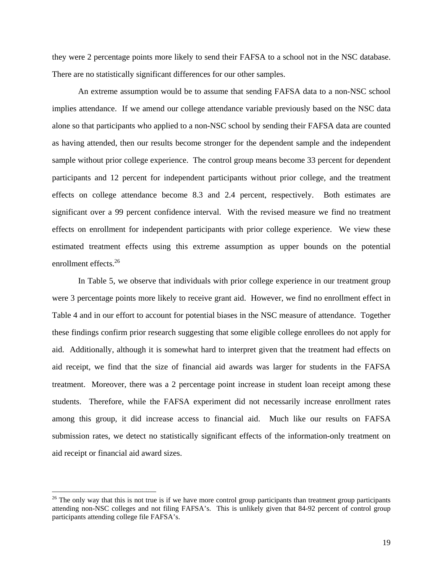they were 2 percentage points more likely to send their FAFSA to a school not in the NSC database. There are no statistically significant differences for our other samples.

 An extreme assumption would be to assume that sending FAFSA data to a non-NSC school implies attendance. If we amend our college attendance variable previously based on the NSC data alone so that participants who applied to a non-NSC school by sending their FAFSA data are counted as having attended, then our results become stronger for the dependent sample and the independent sample without prior college experience. The control group means become 33 percent for dependent participants and 12 percent for independent participants without prior college, and the treatment effects on college attendance become 8.3 and 2.4 percent, respectively. Both estimates are significant over a 99 percent confidence interval. With the revised measure we find no treatment effects on enrollment for independent participants with prior college experience. We view these estimated treatment effects using this extreme assumption as upper bounds on the potential enrollment effects.<sup>26</sup>

In Table 5, we observe that individuals with prior college experience in our treatment group were 3 percentage points more likely to receive grant aid. However, we find no enrollment effect in Table 4 and in our effort to account for potential biases in the NSC measure of attendance. Together these findings confirm prior research suggesting that some eligible college enrollees do not apply for aid. Additionally, although it is somewhat hard to interpret given that the treatment had effects on aid receipt, we find that the size of financial aid awards was larger for students in the FAFSA treatment. Moreover, there was a 2 percentage point increase in student loan receipt among these students. Therefore, while the FAFSA experiment did not necessarily increase enrollment rates among this group, it did increase access to financial aid. Much like our results on FAFSA submission rates, we detect no statistically significant effects of the information-only treatment on aid receipt or financial aid award sizes.

 $26$  The only way that this is not true is if we have more control group participants than treatment group participants attending non-NSC colleges and not filing FAFSA's. This is unlikely given that 84-92 percent of control group participants attending college file FAFSA's.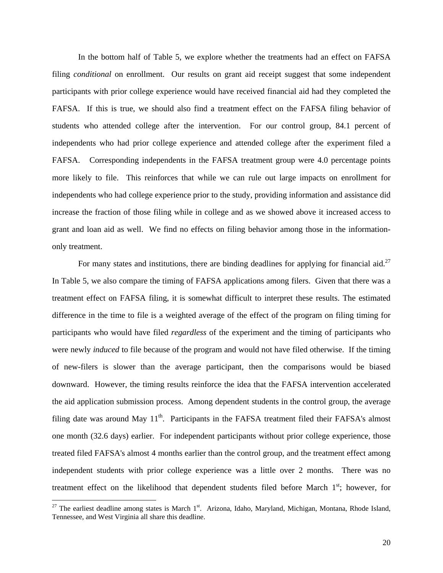In the bottom half of Table 5, we explore whether the treatments had an effect on FAFSA filing *conditional* on enrollment. Our results on grant aid receipt suggest that some independent participants with prior college experience would have received financial aid had they completed the FAFSA. If this is true, we should also find a treatment effect on the FAFSA filing behavior of students who attended college after the intervention. For our control group, 84.1 percent of independents who had prior college experience and attended college after the experiment filed a FAFSA. Corresponding independents in the FAFSA treatment group were 4.0 percentage points more likely to file. This reinforces that while we can rule out large impacts on enrollment for independents who had college experience prior to the study, providing information and assistance did increase the fraction of those filing while in college and as we showed above it increased access to grant and loan aid as well. We find no effects on filing behavior among those in the informationonly treatment.

For many states and institutions, there are binding deadlines for applying for financial aid.<sup>27</sup> In Table 5, we also compare the timing of FAFSA applications among filers. Given that there was a treatment effect on FAFSA filing, it is somewhat difficult to interpret these results. The estimated difference in the time to file is a weighted average of the effect of the program on filing timing for participants who would have filed *regardless* of the experiment and the timing of participants who were newly *induced* to file because of the program and would not have filed otherwise. If the timing of new-filers is slower than the average participant, then the comparisons would be biased downward. However, the timing results reinforce the idea that the FAFSA intervention accelerated the aid application submission process. Among dependent students in the control group, the average filing date was around May  $11<sup>th</sup>$ . Participants in the FAFSA treatment filed their FAFSA's almost one month (32.6 days) earlier. For independent participants without prior college experience, those treated filed FAFSA's almost 4 months earlier than the control group, and the treatment effect among independent students with prior college experience was a little over 2 months. There was no treatment effect on the likelihood that dependent students filed before March 1<sup>st</sup>; however, for

<sup>&</sup>lt;sup>27</sup> The earliest deadline among states is March  $1<sup>st</sup>$ . Arizona, Idaho, Maryland, Michigan, Montana, Rhode Island, Tennessee, and West Virginia all share this deadline.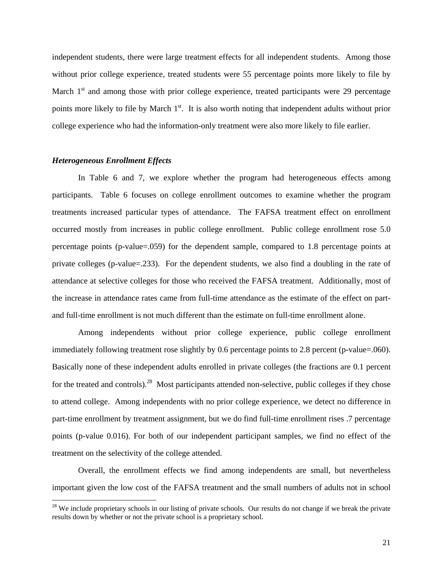independent students, there were large treatment effects for all independent students. Among those without prior college experience, treated students were 55 percentage points more likely to file by March  $1<sup>st</sup>$  and among those with prior college experience, treated participants were 29 percentage points more likely to file by March 1<sup>st</sup>. It is also worth noting that independent adults without prior college experience who had the information-only treatment were also more likely to file earlier.

# *Heterogeneous Enrollment Effects*

 $\overline{a}$ 

 In Table 6 and 7, we explore whether the program had heterogeneous effects among participants. Table 6 focuses on college enrollment outcomes to examine whether the program treatments increased particular types of attendance. The FAFSA treatment effect on enrollment occurred mostly from increases in public college enrollment. Public college enrollment rose 5.0 percentage points (p-value=.059) for the dependent sample, compared to 1.8 percentage points at private colleges (p-value=.233). For the dependent students, we also find a doubling in the rate of attendance at selective colleges for those who received the FAFSA treatment. Additionally, most of the increase in attendance rates came from full-time attendance as the estimate of the effect on partand full-time enrollment is not much different than the estimate on full-time enrollment alone.

Among independents without prior college experience, public college enrollment immediately following treatment rose slightly by 0.6 percentage points to 2.8 percent (p-value=.060). Basically none of these independent adults enrolled in private colleges (the fractions are 0.1 percent for the treated and controls).<sup>28</sup> Most participants attended non-selective, public colleges if they chose to attend college. Among independents with no prior college experience, we detect no difference in part-time enrollment by treatment assignment, but we do find full-time enrollment rises .7 percentage points (p-value 0.016). For both of our independent participant samples, we find no effect of the treatment on the selectivity of the college attended.

 Overall, the enrollment effects we find among independents are small, but nevertheless important given the low cost of the FAFSA treatment and the small numbers of adults not in school

 $28$  We include proprietary schools in our listing of private schools. Our results do not change if we break the private results down by whether or not the private school is a proprietary school.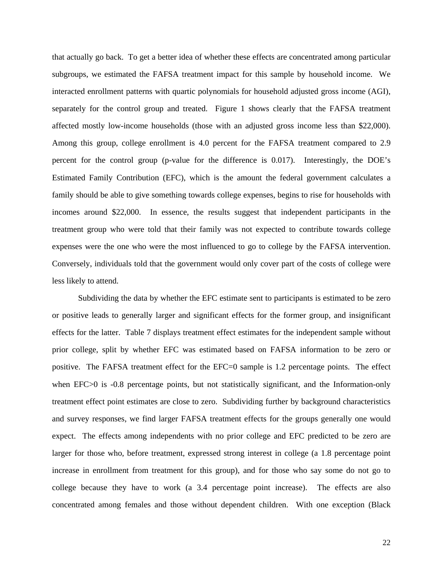that actually go back. To get a better idea of whether these effects are concentrated among particular subgroups, we estimated the FAFSA treatment impact for this sample by household income. We interacted enrollment patterns with quartic polynomials for household adjusted gross income (AGI), separately for the control group and treated. Figure 1 shows clearly that the FAFSA treatment affected mostly low-income households (those with an adjusted gross income less than \$22,000). Among this group, college enrollment is 4.0 percent for the FAFSA treatment compared to 2.9 percent for the control group (p-value for the difference is 0.017). Interestingly, the DOE's Estimated Family Contribution (EFC), which is the amount the federal government calculates a family should be able to give something towards college expenses, begins to rise for households with incomes around \$22,000. In essence, the results suggest that independent participants in the treatment group who were told that their family was not expected to contribute towards college expenses were the one who were the most influenced to go to college by the FAFSA intervention. Conversely, individuals told that the government would only cover part of the costs of college were less likely to attend.

 Subdividing the data by whether the EFC estimate sent to participants is estimated to be zero or positive leads to generally larger and significant effects for the former group, and insignificant effects for the latter. Table 7 displays treatment effect estimates for the independent sample without prior college, split by whether EFC was estimated based on FAFSA information to be zero or positive. The FAFSA treatment effect for the EFC=0 sample is 1.2 percentage points. The effect when EFC $>0$  is  $-0.8$  percentage points, but not statistically significant, and the Information-only treatment effect point estimates are close to zero. Subdividing further by background characteristics and survey responses, we find larger FAFSA treatment effects for the groups generally one would expect. The effects among independents with no prior college and EFC predicted to be zero are larger for those who, before treatment, expressed strong interest in college (a 1.8 percentage point increase in enrollment from treatment for this group), and for those who say some do not go to college because they have to work (a 3.4 percentage point increase). The effects are also concentrated among females and those without dependent children. With one exception (Black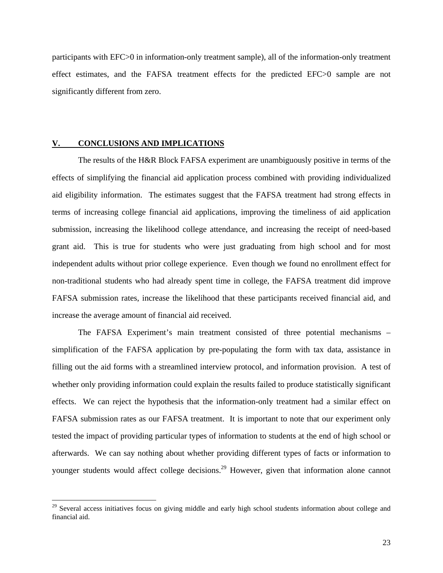participants with EFC>0 in information-only treatment sample), all of the information-only treatment effect estimates, and the FAFSA treatment effects for the predicted EFC>0 sample are not significantly different from zero.

### **V. CONCLUSIONS AND IMPLICATIONS**

 $\overline{a}$ 

The results of the H&R Block FAFSA experiment are unambiguously positive in terms of the effects of simplifying the financial aid application process combined with providing individualized aid eligibility information. The estimates suggest that the FAFSA treatment had strong effects in terms of increasing college financial aid applications, improving the timeliness of aid application submission, increasing the likelihood college attendance, and increasing the receipt of need-based grant aid. This is true for students who were just graduating from high school and for most independent adults without prior college experience. Even though we found no enrollment effect for non-traditional students who had already spent time in college, the FAFSA treatment did improve FAFSA submission rates, increase the likelihood that these participants received financial aid, and increase the average amount of financial aid received.

The FAFSA Experiment's main treatment consisted of three potential mechanisms – simplification of the FAFSA application by pre-populating the form with tax data, assistance in filling out the aid forms with a streamlined interview protocol, and information provision. A test of whether only providing information could explain the results failed to produce statistically significant effects. We can reject the hypothesis that the information-only treatment had a similar effect on FAFSA submission rates as our FAFSA treatment. It is important to note that our experiment only tested the impact of providing particular types of information to students at the end of high school or afterwards. We can say nothing about whether providing different types of facts or information to younger students would affect college decisions.<sup>29</sup> However, given that information alone cannot

<sup>&</sup>lt;sup>29</sup> Several access initiatives focus on giving middle and early high school students information about college and financial aid.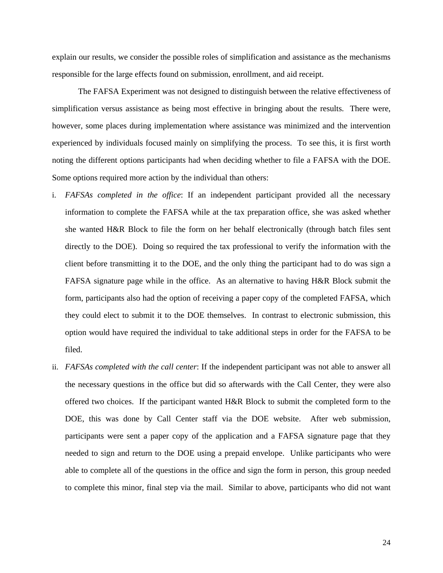explain our results, we consider the possible roles of simplification and assistance as the mechanisms responsible for the large effects found on submission, enrollment, and aid receipt.

The FAFSA Experiment was not designed to distinguish between the relative effectiveness of simplification versus assistance as being most effective in bringing about the results. There were, however, some places during implementation where assistance was minimized and the intervention experienced by individuals focused mainly on simplifying the process. To see this, it is first worth noting the different options participants had when deciding whether to file a FAFSA with the DOE. Some options required more action by the individual than others:

- i. *FAFSAs completed in the office*: If an independent participant provided all the necessary information to complete the FAFSA while at the tax preparation office, she was asked whether she wanted H&R Block to file the form on her behalf electronically (through batch files sent directly to the DOE). Doing so required the tax professional to verify the information with the client before transmitting it to the DOE, and the only thing the participant had to do was sign a FAFSA signature page while in the office. As an alternative to having H&R Block submit the form, participants also had the option of receiving a paper copy of the completed FAFSA, which they could elect to submit it to the DOE themselves. In contrast to electronic submission, this option would have required the individual to take additional steps in order for the FAFSA to be filed.
- ii. *FAFSAs completed with the call center*: If the independent participant was not able to answer all the necessary questions in the office but did so afterwards with the Call Center, they were also offered two choices. If the participant wanted H&R Block to submit the completed form to the DOE, this was done by Call Center staff via the DOE website. After web submission, participants were sent a paper copy of the application and a FAFSA signature page that they needed to sign and return to the DOE using a prepaid envelope. Unlike participants who were able to complete all of the questions in the office and sign the form in person, this group needed to complete this minor, final step via the mail. Similar to above, participants who did not want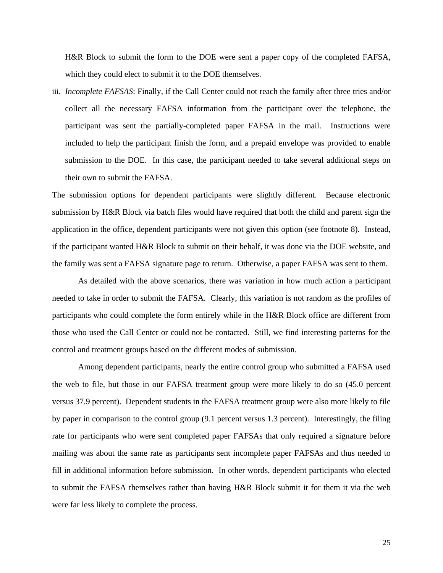H&R Block to submit the form to the DOE were sent a paper copy of the completed FAFSA, which they could elect to submit it to the DOE themselves.

iii. *Incomplete FAFSAS*: Finally, if the Call Center could not reach the family after three tries and/or collect all the necessary FAFSA information from the participant over the telephone, the participant was sent the partially-completed paper FAFSA in the mail. Instructions were included to help the participant finish the form, and a prepaid envelope was provided to enable submission to the DOE. In this case, the participant needed to take several additional steps on their own to submit the FAFSA.

The submission options for dependent participants were slightly different. Because electronic submission by H&R Block via batch files would have required that both the child and parent sign the application in the office, dependent participants were not given this option (see footnote 8). Instead, if the participant wanted H&R Block to submit on their behalf, it was done via the DOE website, and the family was sent a FAFSA signature page to return. Otherwise, a paper FAFSA was sent to them.

 As detailed with the above scenarios, there was variation in how much action a participant needed to take in order to submit the FAFSA. Clearly, this variation is not random as the profiles of participants who could complete the form entirely while in the H&R Block office are different from those who used the Call Center or could not be contacted. Still, we find interesting patterns for the control and treatment groups based on the different modes of submission.

Among dependent participants, nearly the entire control group who submitted a FAFSA used the web to file, but those in our FAFSA treatment group were more likely to do so (45.0 percent versus 37.9 percent). Dependent students in the FAFSA treatment group were also more likely to file by paper in comparison to the control group (9.1 percent versus 1.3 percent). Interestingly, the filing rate for participants who were sent completed paper FAFSAs that only required a signature before mailing was about the same rate as participants sent incomplete paper FAFSAs and thus needed to fill in additional information before submission. In other words, dependent participants who elected to submit the FAFSA themselves rather than having H&R Block submit it for them it via the web were far less likely to complete the process.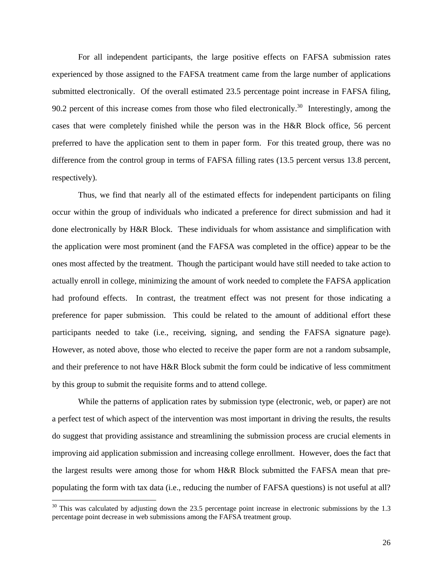For all independent participants, the large positive effects on FAFSA submission rates experienced by those assigned to the FAFSA treatment came from the large number of applications submitted electronically. Of the overall estimated 23.5 percentage point increase in FAFSA filing, 90.2 percent of this increase comes from those who filed electronically.<sup>30</sup> Interestingly, among the cases that were completely finished while the person was in the H&R Block office, 56 percent preferred to have the application sent to them in paper form. For this treated group, there was no difference from the control group in terms of FAFSA filling rates (13.5 percent versus 13.8 percent, respectively).

Thus, we find that nearly all of the estimated effects for independent participants on filing occur within the group of individuals who indicated a preference for direct submission and had it done electronically by H&R Block. These individuals for whom assistance and simplification with the application were most prominent (and the FAFSA was completed in the office) appear to be the ones most affected by the treatment. Though the participant would have still needed to take action to actually enroll in college, minimizing the amount of work needed to complete the FAFSA application had profound effects. In contrast, the treatment effect was not present for those indicating a preference for paper submission. This could be related to the amount of additional effort these participants needed to take (i.e., receiving, signing, and sending the FAFSA signature page). However, as noted above, those who elected to receive the paper form are not a random subsample, and their preference to not have H&R Block submit the form could be indicative of less commitment by this group to submit the requisite forms and to attend college.

While the patterns of application rates by submission type (electronic, web, or paper) are not a perfect test of which aspect of the intervention was most important in driving the results, the results do suggest that providing assistance and streamlining the submission process are crucial elements in improving aid application submission and increasing college enrollment. However, does the fact that the largest results were among those for whom H&R Block submitted the FAFSA mean that prepopulating the form with tax data (i.e., reducing the number of FAFSA questions) is not useful at all?

 $30$  This was calculated by adjusting down the 23.5 percentage point increase in electronic submissions by the 1.3 percentage point decrease in web submissions among the FAFSA treatment group.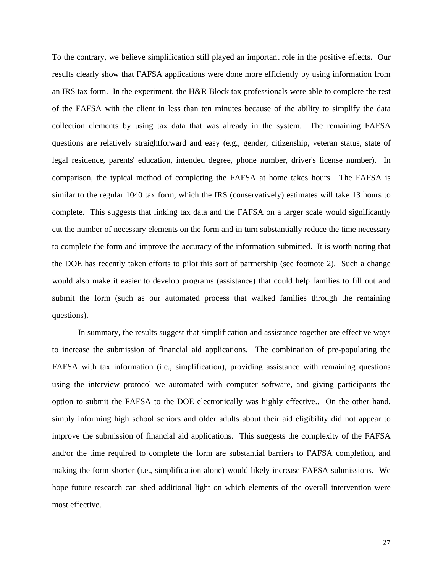To the contrary, we believe simplification still played an important role in the positive effects. Our results clearly show that FAFSA applications were done more efficiently by using information from an IRS tax form. In the experiment, the H&R Block tax professionals were able to complete the rest of the FAFSA with the client in less than ten minutes because of the ability to simplify the data collection elements by using tax data that was already in the system. The remaining FAFSA questions are relatively straightforward and easy (e.g., gender, citizenship, veteran status, state of legal residence, parents' education, intended degree, phone number, driver's license number). In comparison, the typical method of completing the FAFSA at home takes hours. The FAFSA is similar to the regular 1040 tax form, which the IRS (conservatively) estimates will take 13 hours to complete. This suggests that linking tax data and the FAFSA on a larger scale would significantly cut the number of necessary elements on the form and in turn substantially reduce the time necessary to complete the form and improve the accuracy of the information submitted. It is worth noting that the DOE has recently taken efforts to pilot this sort of partnership (see footnote 2). Such a change would also make it easier to develop programs (assistance) that could help families to fill out and submit the form (such as our automated process that walked families through the remaining questions).

In summary, the results suggest that simplification and assistance together are effective ways to increase the submission of financial aid applications. The combination of pre-populating the FAFSA with tax information (i.e., simplification), providing assistance with remaining questions using the interview protocol we automated with computer software, and giving participants the option to submit the FAFSA to the DOE electronically was highly effective.. On the other hand, simply informing high school seniors and older adults about their aid eligibility did not appear to improve the submission of financial aid applications. This suggests the complexity of the FAFSA and/or the time required to complete the form are substantial barriers to FAFSA completion, and making the form shorter (i.e., simplification alone) would likely increase FAFSA submissions. We hope future research can shed additional light on which elements of the overall intervention were most effective.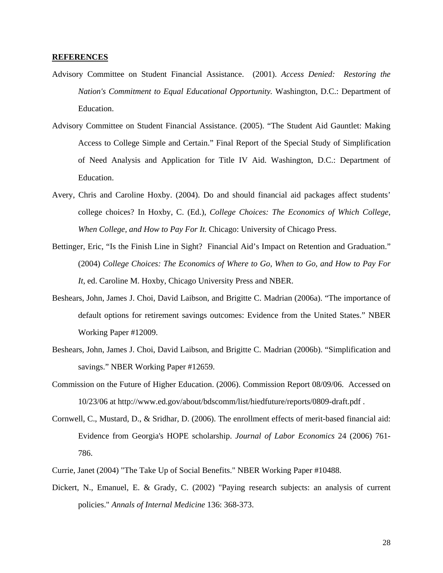#### **REFERENCES**

- Advisory Committee on Student Financial Assistance. (2001). *Access Denied: Restoring the Nation's Commitment to Equal Educational Opportunity.* Washington, D.C.: Department of Education.
- Advisory Committee on Student Financial Assistance. (2005). "The Student Aid Gauntlet: Making Access to College Simple and Certain." Final Report of the Special Study of Simplification of Need Analysis and Application for Title IV Aid. Washington, D.C.: Department of Education.
- Avery, Chris and Caroline Hoxby. (2004). Do and should financial aid packages affect students' college choices? In Hoxby, C. (Ed.), *College Choices: The Economics of Which College, When College, and How to Pay For It.* Chicago: University of Chicago Press.
- Bettinger, Eric, "Is the Finish Line in Sight? Financial Aid's Impact on Retention and Graduation." (2004) *College Choices: The Economics of Where to Go, When to Go, and How to Pay For It*, ed. Caroline M. Hoxby, Chicago University Press and NBER.
- Beshears, John, James J. Choi, David Laibson, and Brigitte C. Madrian (2006a). "The importance of default options for retirement savings outcomes: Evidence from the United States." NBER Working Paper #12009.
- Beshears, John, James J. Choi, David Laibson, and Brigitte C. Madrian (2006b). "Simplification and savings." NBER Working Paper #12659.
- Commission on the Future of Higher Education. (2006). Commission Report 08/09/06. Accessed on 10/23/06 at http://www.ed.gov/about/bdscomm/list/hiedfuture/reports/0809-draft.pdf .
- Cornwell, C., Mustard, D., & Sridhar, D. (2006). The enrollment effects of merit-based financial aid: Evidence from Georgia's HOPE scholarship. *Journal of Labor Economics* 24 (2006) 761- 786.
- Currie, Janet (2004) "The Take Up of Social Benefits." NBER Working Paper #10488.
- Dickert, N., Emanuel, E. & Grady, C. (2002) "Paying research subjects: an analysis of current policies." *Annals of Internal Medicine* 136: 368-373.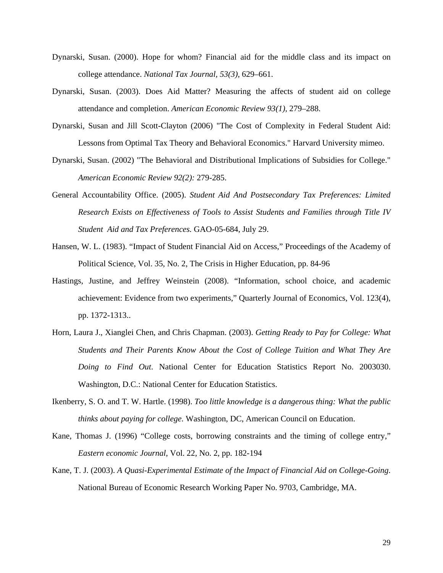- Dynarski, Susan. (2000). Hope for whom? Financial aid for the middle class and its impact on college attendance. *National Tax Journal, 53(3),* 629–661.
- Dynarski, Susan. (2003). Does Aid Matter? Measuring the affects of student aid on college attendance and completion. *American Economic Review 93(1),* 279–288.
- Dynarski, Susan and Jill Scott-Clayton (2006) "The Cost of Complexity in Federal Student Aid: Lessons from Optimal Tax Theory and Behavioral Economics." Harvard University mimeo.
- Dynarski, Susan. (2002) "The Behavioral and Distributional Implications of Subsidies for College." *American Economic Review 92(2):* 279-285.
- General Accountability Office. (2005). *Student Aid And Postsecondary Tax Preferences: Limited Research Exists on Effectiveness of Tools to Assist Students and Families through Title IV Student Aid and Tax Preferences.* GAO-05-684, July 29.
- Hansen, W. L. (1983). "Impact of Student Financial Aid on Access," Proceedings of the Academy of Political Science, Vol. 35, No. 2, The Crisis in Higher Education, pp. 84-96
- Hastings, Justine, and Jeffrey Weinstein (2008). "Information, school choice, and academic achievement: Evidence from two experiments," Quarterly Journal of Economics, Vol. 123(4), pp. 1372-1313..
- Horn, Laura J., Xianglei Chen, and Chris Chapman. (2003). *Getting Ready to Pay for College: What Students and Their Parents Know About the Cost of College Tuition and What They Are Doing to Find Out*. National Center for Education Statistics Report No. 2003030. Washington, D.C.: National Center for Education Statistics.
- Ikenberry, S. O. and T. W. Hartle. (1998). *Too little knowledge is a dangerous thing: What the public thinks about paying for college*. Washington, DC, American Council on Education.
- Kane, Thomas J. (1996) "College costs, borrowing constraints and the timing of college entry," *Eastern economic Journal*, Vol. 22, No. 2, pp. 182-194
- Kane, T. J. (2003). *A Quasi-Experimental Estimate of the Impact of Financial Aid on College-Going*. National Bureau of Economic Research Working Paper No. 9703, Cambridge, MA.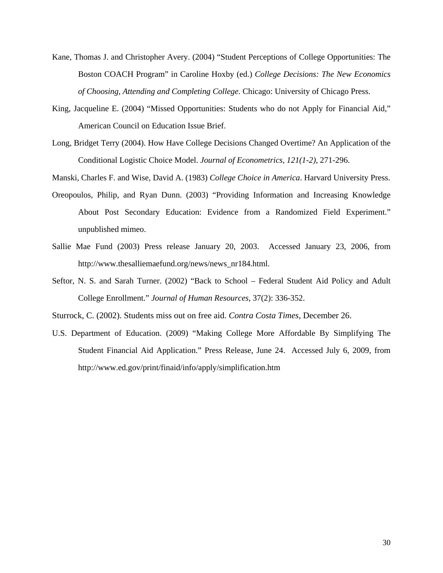- Kane, Thomas J. and Christopher Avery. (2004) "Student Perceptions of College Opportunities: The Boston COACH Program" in Caroline Hoxby (ed.) *College Decisions: The New Economics of Choosing, Attending and Completing College.* Chicago: University of Chicago Press.
- King, Jacqueline E. (2004) "Missed Opportunities: Students who do not Apply for Financial Aid," American Council on Education Issue Brief.
- Long, Bridget Terry (2004). How Have College Decisions Changed Overtime? An Application of the Conditional Logistic Choice Model. *Journal of Econometrics, 121(1-2),* 271-296.

Manski, Charles F. and Wise, David A. (1983) *College Choice in America*. Harvard University Press.

- Oreopoulos, Philip, and Ryan Dunn. (2003) "Providing Information and Increasing Knowledge About Post Secondary Education: Evidence from a Randomized Field Experiment." unpublished mimeo.
- Sallie Mae Fund (2003) Press release January 20, 2003. Accessed January 23, 2006, from http://www.thesalliemaefund.org/news/news\_nr184.html.
- Seftor, N. S. and Sarah Turner. (2002) "Back to School Federal Student Aid Policy and Adult College Enrollment." *Journal of Human Resources*, 37(2): 336-352.

Sturrock, C. (2002). Students miss out on free aid. *Contra Costa Times*, December 26.

U.S. Department of Education. (2009) "Making College More Affordable By Simplifying The Student Financial Aid Application." Press Release, June 24. Accessed July 6, 2009, from http://www.ed.gov/print/finaid/info/apply/simplification.htm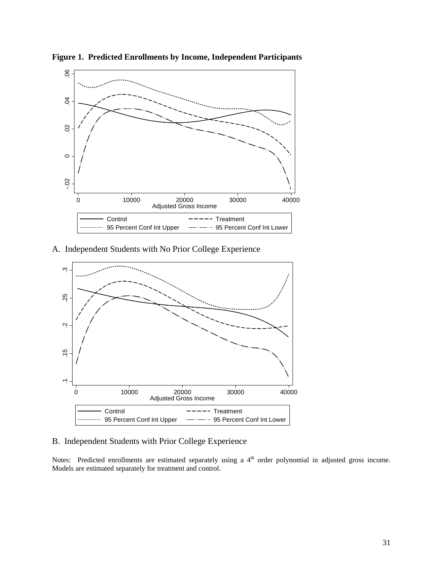

**Figure 1. Predicted Enrollments by Income, Independent Participants** 

A. Independent Students with No Prior College Experience



# B. Independent Students with Prior College Experience

Notes: Predicted enrollments are estimated separately using a 4<sup>th</sup> order polynomial in adjusted gross income. Models are estimated separately for treatment and control.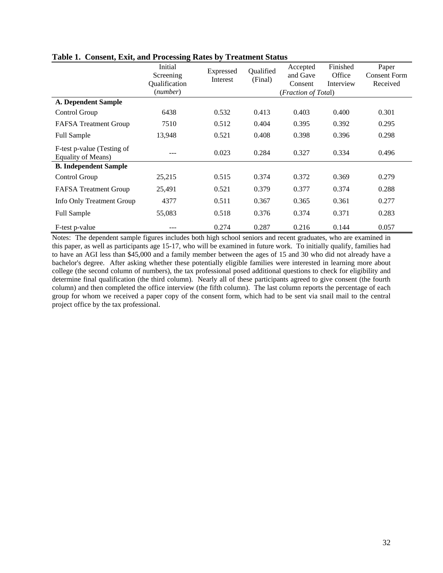|                                                  | -                                     |                       |                      |                                 |                                 |                                          |
|--------------------------------------------------|---------------------------------------|-----------------------|----------------------|---------------------------------|---------------------------------|------------------------------------------|
|                                                  | Initial<br>Screening<br>Qualification | Expressed<br>Interest | Qualified<br>(Final) | Accepted<br>and Gave<br>Consent | Finished<br>Office<br>Interview | Paper<br><b>Consent Form</b><br>Received |
|                                                  | (number)                              |                       |                      | (Fraction of Total)             |                                 |                                          |
| <b>A. Dependent Sample</b>                       |                                       |                       |                      |                                 |                                 |                                          |
| Control Group                                    | 6438                                  | 0.532                 | 0.413                | 0.403                           | 0.400                           | 0.301                                    |
| <b>FAFSA</b> Treatment Group                     | 7510                                  | 0.512                 | 0.404                | 0.395                           | 0.392                           | 0.295                                    |
| <b>Full Sample</b>                               | 13,948                                | 0.521                 | 0.408                | 0.398                           | 0.396                           | 0.298                                    |
| F-test p-value (Testing of<br>Equality of Means) |                                       | 0.023                 | 0.284                | 0.327                           | 0.334                           | 0.496                                    |
| <b>B.</b> Independent Sample                     |                                       |                       |                      |                                 |                                 |                                          |
| Control Group                                    | 25,215                                | 0.515                 | 0.374                | 0.372                           | 0.369                           | 0.279                                    |
| <b>FAFSA</b> Treatment Group                     | 25,491                                | 0.521                 | 0.379                | 0.377                           | 0.374                           | 0.288                                    |
| Info Only Treatment Group                        | 4377                                  | 0.511                 | 0.367                | 0.365                           | 0.361                           | 0.277                                    |
| Full Sample                                      | 55,083                                | 0.518                 | 0.376                | 0.374                           | 0.371                           | 0.283                                    |
| F-test p-value                                   | ---                                   | 0.274                 | 0.287                | 0.216                           | 0.144                           | 0.057                                    |

# **Table 1. Consent, Exit, and Processing Rates by Treatment Status**

Notes: The dependent sample figures includes both high school seniors and recent graduates, who are examined in this paper, as well as participants age 15-17, who will be examined in future work. To initially qualify, families had to have an AGI less than \$45,000 and a family member between the ages of 15 and 30 who did not already have a bachelor's degree. After asking whether these potentially eligible families were interested in learning more about college (the second column of numbers), the tax professional posed additional questions to check for eligibility and determine final qualification (the third column). Nearly all of these participants agreed to give consent (the fourth column) and then completed the office interview (the fifth column). The last column reports the percentage of each group for whom we received a paper copy of the consent form, which had to be sent via snail mail to the central project office by the tax professional.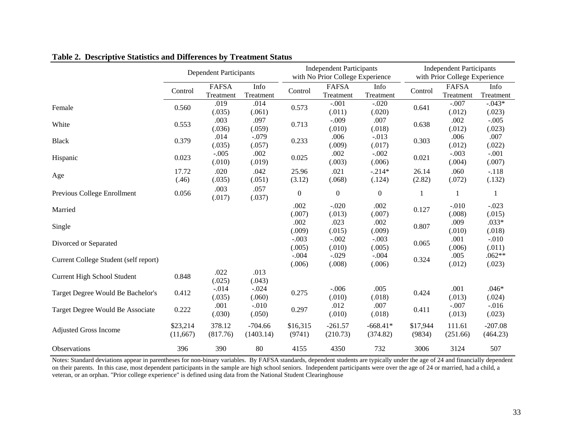|                                       |                      | <b>Dependent Participants</b> |                        |                    | <b>Independent Participants</b><br>with No Prior College Experience |                        |                    | <b>Independent Participants</b><br>with Prior College Experience |                       |  |
|---------------------------------------|----------------------|-------------------------------|------------------------|--------------------|---------------------------------------------------------------------|------------------------|--------------------|------------------------------------------------------------------|-----------------------|--|
|                                       | Control              | <b>FAFSA</b><br>Treatment     | Info<br>Treatment      | Control            | <b>FAFSA</b><br>Treatment                                           | Info<br>Treatment      | Control            | <b>FAFSA</b><br>Treatment                                        | Info<br>Treatment     |  |
| Female                                | 0.560                | .019<br>(.035)                | .014<br>(.061)         | 0.573              | $-.001$<br>(.011)                                                   | $-.020$<br>(.020)      | 0.641              | $-.007$<br>(.012)                                                | $-.043*$<br>(.023)    |  |
| White                                 | 0.553                | .003<br>(.036)                | .097<br>(.059)         | 0.713              | $-.009$<br>(.010)                                                   | .007<br>(.018)         | 0.638              | .002<br>(.012)                                                   | $-.005$<br>(.023)     |  |
| <b>Black</b>                          | 0.379                | .014<br>(.035)                | $-.079$<br>(.057)      | 0.233              | .006<br>(.009)                                                      | $-.013$<br>(.017)      | 0.303              | .006<br>(.012)                                                   | .007<br>(.022)        |  |
| Hispanic                              | 0.023                | $-.005$<br>(.010)             | .002<br>(.019)         | 0.025              | .002<br>(.003)                                                      | $-.002$<br>(.006)      | 0.021              | $-.003$<br>(.004)                                                | $-.001$<br>(.007)     |  |
| Age                                   | 17.72<br>(.46)       | .020<br>(.035)                | .042<br>(.051)         | 25.96<br>(3.12)    | .021<br>(.068)                                                      | $-.214*$<br>(.124)     | 26.14<br>(2.82)    | .060<br>(.072)                                                   | $-.118$<br>(.132)     |  |
| Previous College Enrollment           | 0.056                | .003<br>(.017)                | .057<br>(.037)         | $\boldsymbol{0}$   | $\boldsymbol{0}$                                                    | $\boldsymbol{0}$       | $\mathbf{1}$       | 1                                                                | 1                     |  |
| Married                               |                      |                               |                        | .002<br>(.007)     | $-.020$<br>(.013)                                                   | .002<br>(.007)         | 0.127              | $-.010$<br>(.008)                                                | $-.023$<br>(.015)     |  |
| Single                                |                      |                               |                        | .002<br>(.009)     | .023<br>(.015)                                                      | .002<br>(.009)         | 0.807              | .009<br>(.010)                                                   | $.033*$<br>(.018)     |  |
| Divorced or Separated                 |                      |                               |                        | $-.003$<br>(.005)  | $-.002$<br>(.010)                                                   | $-.003$<br>(.005)      | 0.065              | .001<br>(.006)                                                   | $-.010$<br>(.011)     |  |
| Current College Student (self report) |                      |                               |                        | $-.004$<br>(.006)  | $-.029$<br>(.008)                                                   | $-.004$<br>(.006)      | 0.324              | .005<br>(.012)                                                   | $.062**$<br>(.023)    |  |
| <b>Current High School Student</b>    | 0.848                | .022<br>(.025)                | .013<br>(.043)         |                    |                                                                     |                        |                    |                                                                  |                       |  |
| Target Degree Would Be Bachelor's     | 0.412                | $-.014$<br>(.035)             | $-.024$<br>(.060)      | 0.275              | $-.006$<br>(.010)                                                   | .005<br>(.018)         | 0.424              | .001<br>(.013)                                                   | $.046*$<br>(.024)     |  |
| Target Degree Would Be Associate      | 0.222                | .001<br>(.030)                | $-.010$<br>(.050)      | 0.297              | .012<br>(.010)                                                      | .007<br>(.018)         | 0.411              | $-.007$<br>(.013)                                                | $-0.016$<br>(.023)    |  |
| <b>Adjusted Gross Income</b>          | \$23,214<br>(11,667) | 378.12<br>(817.76)            | $-704.66$<br>(1403.14) | \$16,315<br>(9741) | $-261.57$<br>(210.73)                                               | $-668.41*$<br>(374.82) | \$17,944<br>(9834) | 111.61<br>(251.66)                                               | $-207.08$<br>(464.23) |  |
| <b>Observations</b>                   | 396                  | 390                           | 80                     | 4155               | 4350                                                                | 732                    | 3006               | 3124                                                             | 507                   |  |

# **Table 2. Descriptive Statistics and Differences by Treatment Status**

Notes: Standard deviations appear in parentheses for non-binary variables. By FAFSA standards, dependent students are typically under the age of 24 and financially dependent on their parents. In this case, most dependent participants in the sample are high school seniors. Independent participants were over the age of 24 or married, had a child, a veteran, or an orphan. "Prior college experience" is defined using data from the National Student Clearinghouse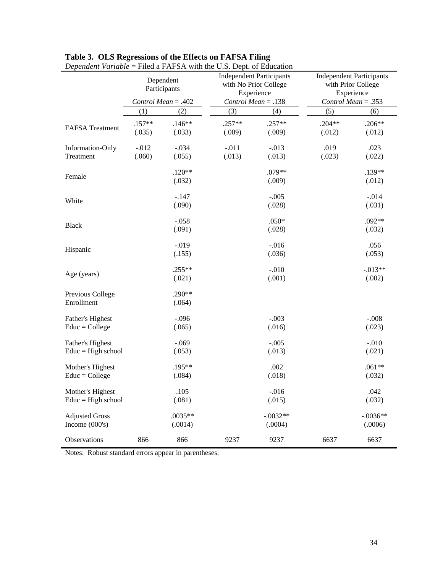|                                           | Dependent<br>Participants<br>Control Mean $= .402$ |                      |                    | <b>Independent Participants</b><br>with No Prior College<br>Experience<br>Control Mean $= .138$ | <b>Independent Participants</b><br>with Prior College<br>Experience<br>Control Mean $= .353$ |                       |  |
|-------------------------------------------|----------------------------------------------------|----------------------|--------------------|-------------------------------------------------------------------------------------------------|----------------------------------------------------------------------------------------------|-----------------------|--|
|                                           | (1)                                                | (2)                  | (3)                | (4)                                                                                             | (5)                                                                                          | (6)                   |  |
| <b>FAFSA</b> Treatment                    | $.157**$<br>(.035)                                 | $.146**$<br>(.033)   | $.257**$<br>(.009) | $.257**$<br>(.009)                                                                              | $.204**$<br>(.012)                                                                           | $.206**$<br>(.012)    |  |
| Information-Only<br>Treatment             | $-.012$<br>(.060)                                  | $-.034$<br>(.055)    | $-.011$<br>(.013)  | $-.013$<br>(.013)                                                                               | .019<br>(.023)                                                                               | .023<br>(.022)        |  |
| Female                                    |                                                    | $.120**$<br>(.032)   |                    | $.079**$<br>(.009)                                                                              |                                                                                              | .139**<br>(.012)      |  |
| White                                     |                                                    | $-.147$<br>(.090)    |                    | $-.005$<br>(.028)                                                                               |                                                                                              | $-.014$<br>(.031)     |  |
| <b>Black</b>                              |                                                    | $-.058$<br>(.091)    |                    | $.050*$<br>(.028)                                                                               |                                                                                              | $.092**$<br>(.032)    |  |
| Hispanic                                  |                                                    | $-.019$<br>(.155)    |                    | $-.016$<br>(.036)                                                                               |                                                                                              | .056<br>(.053)        |  |
| Age (years)                               |                                                    | $.255**$<br>(.021)   |                    | $-.010$<br>(.001)                                                                               |                                                                                              | $-.013**$<br>(.002)   |  |
| Previous College<br>Enrollment            |                                                    | $.290**$<br>(.064)   |                    |                                                                                                 |                                                                                              |                       |  |
| Father's Highest<br>$Educ = College$      |                                                    | $-.096$<br>(.065)    |                    | $-.003$<br>(.016)                                                                               |                                                                                              | $-.008$<br>(.023)     |  |
| Father's Highest<br>$Educ = High school$  |                                                    | $-.069$<br>(.053)    |                    | $-.005$<br>(.013)                                                                               |                                                                                              | $-.010$<br>(.021)     |  |
| Mother's Highest<br>$Educ = College$      |                                                    | .195**<br>(.084)     |                    | .002<br>(.018)                                                                                  |                                                                                              | $.061**$<br>(.032)    |  |
| Mother's Highest<br>$Educ = High school$  |                                                    | .105<br>(.081)       |                    | $-.016$<br>(.015)                                                                               |                                                                                              | .042<br>(.032)        |  |
| <b>Adjusted Gross</b><br>Income $(000's)$ |                                                    | $.0035**$<br>(.0014) |                    | $-.0032**$<br>(.0004)                                                                           |                                                                                              | $-.0036**$<br>(.0006) |  |
| Observations                              | 866                                                | 866                  | 9237               | 9237                                                                                            | 6637                                                                                         | 6637                  |  |

### **Table 3. OLS Regressions of the Effects on FAFSA Filing**  *Dependent Variable* = Filed a FAFSA with the U.S. Dept. of Education

Notes: Robust standard errors appear in parentheses.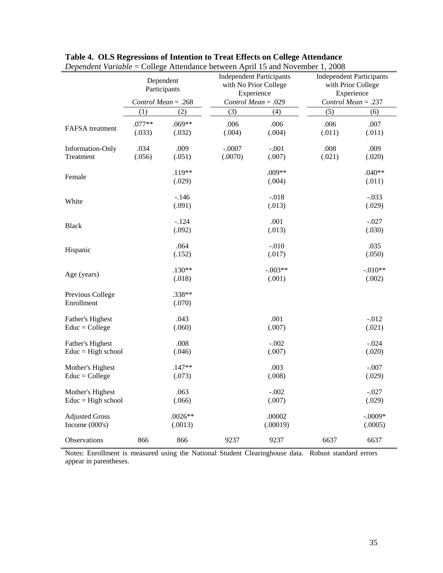|                                           |                    | Dependent<br>Participants |                     | <b>Independent Participants</b><br>with No Prior College<br>Experience |                | <b>Independent Participants</b><br>with Prior College<br>Experience |
|-------------------------------------------|--------------------|---------------------------|---------------------|------------------------------------------------------------------------|----------------|---------------------------------------------------------------------|
|                                           |                    | Control Mean $= .268$     |                     | Control Mean $= .029$                                                  |                | Control Mean $= .237$                                               |
|                                           | (1)                | (2)                       | (3)                 | (4)                                                                    | (5)            | (6)                                                                 |
| FAFSA treatment                           | $.077**$<br>(.033) | .069**<br>(.032)          | .006<br>(.004)      | .006<br>(.004)                                                         | .006<br>(.011) | .007<br>(.011)                                                      |
| Information-Only<br>Treatment             | .034<br>(.056)     | .009<br>(.051)            | $-.0007$<br>(.0070) | $-.001$<br>(.007)                                                      | .008<br>(.021) | .009<br>(.020)                                                      |
| Female                                    |                    | $.119**$<br>(.029)        |                     | .009**<br>(.004)                                                       |                | $.040**$<br>(.011)                                                  |
| White                                     |                    | $-.146$<br>(.091)         |                     | $-.018$<br>(.013)                                                      |                | $-.033$<br>(.029)                                                   |
| <b>Black</b>                              |                    | $-.124$<br>(.092)         |                     | .001<br>(.013)                                                         |                | $-.027$<br>(.030)                                                   |
| Hispanic                                  |                    | .064<br>(.152)            |                     | $-.010$<br>(.017)                                                      |                | .035<br>(.050)                                                      |
| Age (years)                               |                    | $.130**$<br>(.018)        |                     | $-.003**$<br>(.001)                                                    |                | $-.010**$<br>(.002)                                                 |
| Previous College<br>Enrollment            |                    | .338**<br>(.070)          |                     |                                                                        |                |                                                                     |
| Father's Highest<br>$Educ = College$      |                    | .043<br>(.060)            |                     | .001<br>(.007)                                                         |                | $-.012$<br>(.021)                                                   |
| Father's Highest<br>$Educ = High school$  |                    | .008<br>(.046)            |                     | $-.002$<br>(.007)                                                      |                | $-.024$<br>(.020)                                                   |
| Mother's Highest<br>$Educ = College$      |                    | $.147**$<br>(.073)        |                     | .003<br>(.008)                                                         |                | $-.007$<br>(.029)                                                   |
| Mother's Highest<br>$Educ = High school$  |                    | .063<br>(.066)            |                     | $-.002$<br>(.007)                                                      |                | $-.027$<br>(.029)                                                   |
| <b>Adjusted Gross</b><br>Income $(000's)$ |                    | $.0026**$<br>(.0013)      |                     | .00002<br>(.00019)                                                     |                | $-.0009*$<br>(.0005)                                                |
| Observations                              | 866                | 866                       | 9237                | 9237                                                                   | 6637           | 6637                                                                |

| Table 4. OLS Regressions of Intention to Treat Effects on College Attendance         |  |  |  |
|--------------------------------------------------------------------------------------|--|--|--|
| <i>Dependent Variable</i> = College Attendance between April 15 and November 1, 2008 |  |  |  |

Notes: Enrollment is measured using the National Student Clearinghouse data. Robust standard errors appear in parentheses.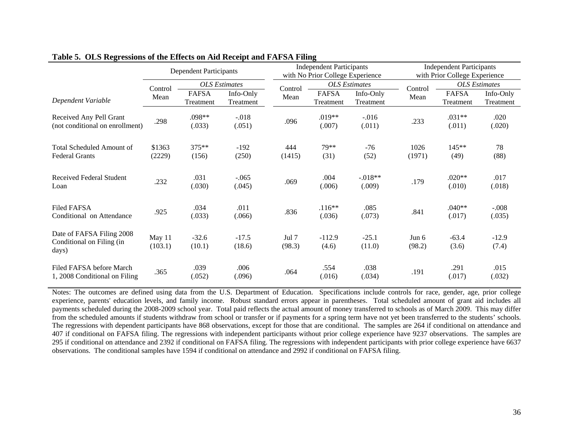|                                                                 | <b>Dependent Participants</b> |                           |                        | <b>Independent Participants</b><br>with No Prior College Experience |                           |                        | <b>Independent Participants</b><br>with Prior College Experience |                           |                        |
|-----------------------------------------------------------------|-------------------------------|---------------------------|------------------------|---------------------------------------------------------------------|---------------------------|------------------------|------------------------------------------------------------------|---------------------------|------------------------|
|                                                                 | Control                       |                           | <b>OLS</b> Estimates   | Control                                                             |                           | <b>OLS</b> Estimates   | Control                                                          |                           | <b>OLS</b> Estimates   |
| Dependent Variable                                              | Mean                          | <b>FAFSA</b><br>Treatment | Info-Only<br>Treatment | Mean                                                                | <b>FAFSA</b><br>Treatment | Info-Only<br>Treatment | Mean                                                             | <b>FAFSA</b><br>Treatment | Info-Only<br>Treatment |
| Received Any Pell Grant<br>(not conditional on enrollment)      | .298                          | .098**<br>(.033)          | $-.018$<br>(.051)      | .096                                                                | .019**<br>(.007)          | $-.016$<br>(.011)      | .233                                                             | $.031**$<br>(.011)        | .020<br>(.020)         |
| Total Scheduled Amount of<br><b>Federal Grants</b>              | \$1363<br>(2229)              | 375**<br>(156)            | $-192$<br>(250)        | 444<br>(1415)                                                       | 79**<br>(31)              | $-76$<br>(52)          | 1026<br>(1971)                                                   | $145**$<br>(49)           | 78<br>(88)             |
| Received Federal Student<br>Loan                                | .232                          | .031<br>(.030)            | $-.065$<br>(.045)      | .069                                                                | .004<br>(.006)            | $-.018**$<br>(.009)    | .179                                                             | $.020**$<br>(.010)        | .017<br>(.018)         |
| <b>Filed FAFSA</b><br>Conditional on Attendance                 | .925                          | .034<br>(.033)            | .011<br>(.066)         | .836                                                                | $.116**$<br>(.036)        | .085<br>(.073)         | .841                                                             | $.040**$<br>(.017)        | $-.008$<br>(.035)      |
| Date of FAFSA Filing 2008<br>Conditional on Filing (in<br>days) | May 11<br>(103.1)             | $-32.6$<br>(10.1)         | $-17.5$<br>(18.6)      | Jul 7<br>(98.3)                                                     | $-112.9$<br>(4.6)         | $-25.1$<br>(11.0)      | Jun $6$<br>(98.2)                                                | $-63.4$<br>(3.6)          | $-12.9$<br>(7.4)       |
| Filed FAFSA before March<br>1, 2008 Conditional on Filing       | .365                          | .039<br>(.052)            | .006<br>(.096)         | .064                                                                | .554<br>(.016)            | .038<br>(.034)         | .191                                                             | .291<br>(.017)            | .015<br>(.032)         |

# **Table 5. OLS Regressions of the Effects on Aid Receipt and FAFSA Filing**

Notes: The outcomes are defined using data from the U.S. Department of Education. Specifications include controls for race, gender, age, prior college experience, parents' education levels, and family income. Robust standard errors appear in parentheses. Total scheduled amount of grant aid includes all payments scheduled during the 2008-2009 school year. Total paid reflects the actual amount of money transferred to schools as of March 2009. This may differ from the scheduled amounts if students withdraw from school or transfer or if payments for a spring term have not yet been transferred to the students' schools. The regressions with dependent participants have 868 observations, except for those that are conditional. The samples are 264 if conditional on attendance and 407 if conditional on FAFSA filing. The regressions with independent participants without prior college experience have 9237 observations. The samples are 295 if conditional on attendance and 2392 if conditional on FAFSA filing. The regressions with independent participants with prior college experience have 6637 observations. The conditional samples have 1594 if conditional on attendance and 2992 if conditional on FAFSA filing.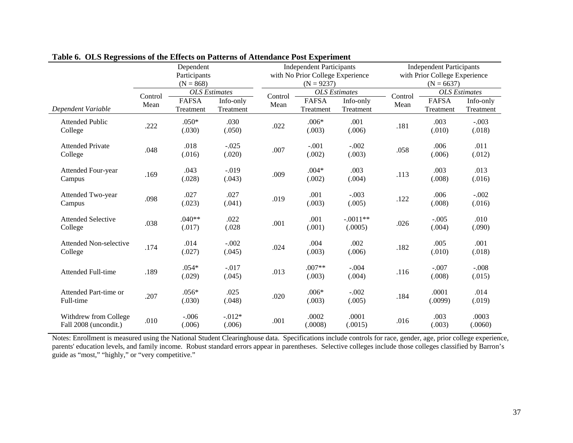| $\sim$ $\sim$ $\sim$                           | CODIOIND OI WILL | Dependent<br>Participants<br>$(N = 868)$ |                        |                 | <b>Independent Participants</b><br>with No Prior College Experience<br>$(N = 9237)$ |                        |                 | <b>Independent Participants</b><br>with Prior College Experience<br>$(N = 6637)$ |                        |
|------------------------------------------------|------------------|------------------------------------------|------------------------|-----------------|-------------------------------------------------------------------------------------|------------------------|-----------------|----------------------------------------------------------------------------------|------------------------|
|                                                |                  | <b>OLS</b> Estimates                     |                        |                 | <b>OLS</b> Estimates                                                                |                        |                 | <b>OLS</b> Estimates                                                             |                        |
| Dependent Variable                             | Control<br>Mean  | <b>FAFSA</b><br>Treatment                | Info-only<br>Treatment | Control<br>Mean | <b>FAFSA</b><br>Treatment                                                           | Info-only<br>Treatment | Control<br>Mean | <b>FAFSA</b><br>Treatment                                                        | Info-only<br>Treatment |
| <b>Attended Public</b><br>College              | .222             | $.050*$<br>(.030)                        | .030<br>(.050)         | .022            | $.006*$<br>(.003)                                                                   | .001<br>(.006)         | .181            | .003<br>(.010)                                                                   | $-.003$<br>(.018)      |
| <b>Attended Private</b><br>College             | .048             | .018<br>(.016)                           | $-.025$<br>(.020)      | .007            | $-.001$<br>(.002)                                                                   | $-.002$<br>(.003)      | .058            | .006<br>(.006)                                                                   | .011<br>(.012)         |
| Attended Four-year<br>Campus                   | .169             | .043<br>(.028)                           | $-.019$<br>(.043)      | .009            | $.004*$<br>(.002)                                                                   | .003<br>(.004)         | .113            | .003<br>(.008)                                                                   | .013<br>(.016)         |
| Attended Two-year<br>Campus                    | .098             | .027<br>(.023)                           | .027<br>(.041)         | .019            | .001<br>(.003)                                                                      | $-.003$<br>(.005)      | .122            | .006<br>(.008)                                                                   | $-.002$<br>(.016)      |
| <b>Attended Selective</b><br>College           | .038             | $.040**$<br>(.017)                       | .022<br>(.028)         | .001            | .001<br>(.001)                                                                      | $-.0011**$<br>(.0005)  | .026            | $-.005$<br>(.004)                                                                | .010<br>(.090)         |
| Attended Non-selective<br>College              | .174             | .014<br>(.027)                           | $-.002$<br>(.045)      | .024            | .004<br>(.003)                                                                      | .002<br>(.006)         | .182            | .005<br>(.010)                                                                   | .001<br>(.018)         |
| Attended Full-time                             | .189             | $.054*$<br>(.029)                        | $-.017$<br>(.045)      | .013            | $.007**$<br>(.003)                                                                  | $-.004$<br>(.004)      | .116            | $-.007$<br>(.008)                                                                | $-.008$<br>(.015)      |
| Attended Part-time or<br>Full-time             | .207             | $.056*$<br>(.030)                        | .025<br>(.048)         | .020            | $.006*$<br>(.003)                                                                   | $-.002$<br>(.005)      | .184            | .0001<br>(.0099)                                                                 | .014<br>(.019)         |
| Withdrew from College<br>Fall 2008 (uncondit.) | .010             | $-.006$<br>(.006)                        | $-0.012*$<br>(.006)    | .001            | .0002<br>(.0008)                                                                    | .0001<br>(.0015)       | .016            | .003<br>(.003)                                                                   | .0003<br>(.0060)       |

**Table 6. OLS Regressions of the Effects on Patterns of Attendance Post Experiment** 

Notes: Enrollment is measured using the National Student Clearinghouse data. Specifications include controls for race, gender, age, prior college experience, parents' education levels, and family income. Robust standard errors appear in parentheses. Selective colleges include those colleges classified by Barron's guide as "most," "highly," or "very competitive."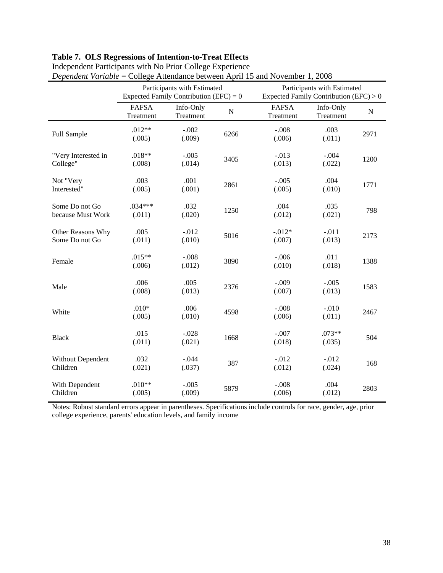# **Table 7. OLS Regressions of Intention-to-Treat Effects**

| D                                   |                           | Participants with Estimated<br>Expected Family Contribution (EFC) = $0$ |           | Participants with Estimated<br>Expected Family Contribution (EFC) $> 0$ |                        |           |  |
|-------------------------------------|---------------------------|-------------------------------------------------------------------------|-----------|-------------------------------------------------------------------------|------------------------|-----------|--|
|                                     | <b>FAFSA</b><br>Treatment | Info-Only<br>Treatment                                                  | ${\bf N}$ | <b>FAFSA</b><br>Treatment                                               | Info-Only<br>Treatment | ${\bf N}$ |  |
| Full Sample                         | $.012**$<br>(.005)        | $-.002$<br>(.009)                                                       | 6266      | $-.008$<br>(.006)                                                       | .003<br>(.011)         | 2971      |  |
| "Very Interested in<br>College"     | $.018**$<br>(.008)        | $-.005$<br>(.014)                                                       | 3405      | $-.013$<br>(.013)                                                       | $-.004$<br>(.022)      | 1200      |  |
| Not "Very<br>Interested"            | .003<br>(.005)            | .001<br>(.001)                                                          | 2861      | $-.005$<br>(.005)                                                       | .004<br>(.010)         | 1771      |  |
| Some Do not Go<br>because Must Work | $.034***$<br>(.011)       | .032<br>(.020)                                                          | 1250      | .004<br>(.012)                                                          | .035<br>(.021)         | 798       |  |
| Other Reasons Why<br>Some Do not Go | .005<br>(.011)            | $-.012$<br>(.010)                                                       | 5016      | $-.012*$<br>(.007)                                                      | $-.011$<br>(.013)      | 2173      |  |
| Female                              | $.015**$<br>(.006)        | $-.008$<br>(.012)                                                       | 3890      | $-.006$<br>(.010)                                                       | .011<br>(.018)         | 1388      |  |
| Male                                | .006<br>(.008)            | .005<br>(.013)                                                          | 2376      | $-.009$<br>(.007)                                                       | $-.005$<br>(.013)      | 1583      |  |
| White                               | $.010*$<br>(.005)         | .006<br>(.010)                                                          | 4598      | $-.008$<br>(.006)                                                       | $-.010$<br>(.011)      | 2467      |  |
| <b>Black</b>                        | .015<br>(.011)            | $-.028$<br>(.021)                                                       | 1668      | $-.007$<br>(.018)                                                       | $.073**$<br>(.035)     | 504       |  |
| Without Dependent<br>Children       | .032<br>(.021)            | $-.044$<br>(.037)                                                       | 387       | $-0.012$<br>(.012)                                                      | $-.012$<br>(.024)      | 168       |  |
| With Dependent<br>Children          | $.010**$<br>(.005)        | $-.005$<br>(.009)                                                       | 5879      | $-.008$<br>(.006)                                                       | .004<br>(.012)         | 2803      |  |

Independent Participants with No Prior College Experience *Dependent Variable* = College Attendance between April 15 and November 1, 2008

Notes: Robust standard errors appear in parentheses. Specifications include controls for race, gender, age, prior college experience, parents' education levels, and family income